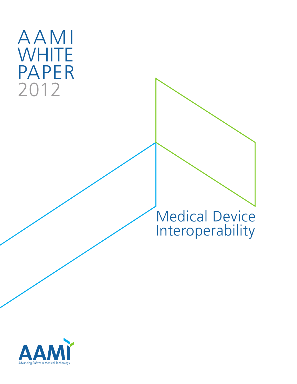# AAMI **WHITE** PAPER 2012

## Medical Device Interoperability

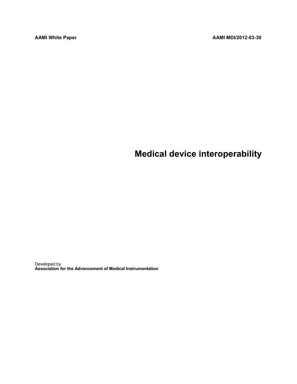## **Medical device interoperability**

Developed by **Association for the Advancement of Medical Instrumentation**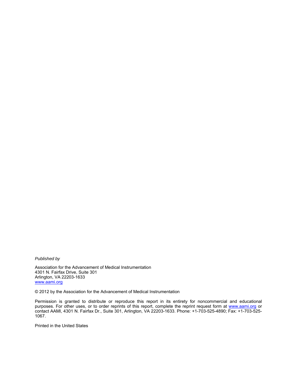*Published by*

Association for the Advancement of Medical Instrumentation 4301 N. Fairfax Drive, Suite 301 Arlington, VA 22203-1633 [www.aami.org](http://www.aami.org/) 

© 2012 by the Association for the Advancement of Medical Instrumentation

Permission is granted to distribute or reproduce this report in its entirety for noncommercial and educational purposes. For other uses, or to order reprints of this report, complete the reprint request form at [www.aami.org](http://www.aami.org/) or contact AAMI, 4301 N. Fairfax Dr., Suite 301, Arlington, VA 22203-1633. Phone: +1-703-525-4890; Fax: +1-703-525- 1067.

Printed in the United States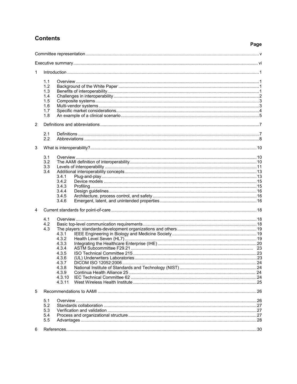#### **Contents**

| . .<br>×<br>v<br>۰.<br>×<br>۰. |
|--------------------------------|
|--------------------------------|

| 1 |                                                      |                                                                                                   |  |  |  |  |
|---|------------------------------------------------------|---------------------------------------------------------------------------------------------------|--|--|--|--|
|   | 1.1<br>1.2<br>1.3<br>1.4<br>1.5<br>1.6<br>1.7<br>1.8 |                                                                                                   |  |  |  |  |
| 2 |                                                      |                                                                                                   |  |  |  |  |
|   | 2.1<br>2.2                                           |                                                                                                   |  |  |  |  |
| 3 |                                                      |                                                                                                   |  |  |  |  |
|   | 3.1<br>3.2<br>3.3<br>3.4                             | 3.4.1                                                                                             |  |  |  |  |
|   |                                                      | 3.4.2<br>3.4.3<br>3.4.4<br>3.4.5<br>3.4.6                                                         |  |  |  |  |
| 4 |                                                      |                                                                                                   |  |  |  |  |
|   | 4.1<br>4.2<br>4.3                                    | 4.3.1<br>4.3.2<br>4.3.3<br>4.3.4<br>4.3.5<br>4.3.6<br>4.3.7<br>4.3.8<br>4.3.9<br>4.3.10<br>4.3.11 |  |  |  |  |
| 5 |                                                      |                                                                                                   |  |  |  |  |
|   | 5.1<br>5.2<br>5.3<br>5.4<br>5.5                      |                                                                                                   |  |  |  |  |
| 6 |                                                      |                                                                                                   |  |  |  |  |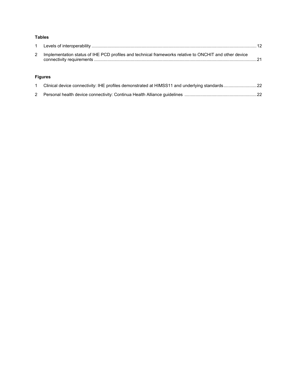#### **Tables**

| 2 Implementation status of IHE PCD profiles and technical frameworks relative to ONCHIT and other device |  |
|----------------------------------------------------------------------------------------------------------|--|

#### **Figures**

| Clinical device connectivity: IHE profiles demonstrated at HIMSS11 and underlying standards22 |  |
|-----------------------------------------------------------------------------------------------|--|
|                                                                                               |  |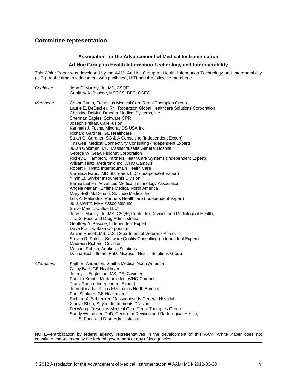#### <span id="page-6-0"></span>**Committee representation**

#### **Association for the Advancement of Medical Instrumentation**

#### **Ad Hoc Group on Health Information Technology and Interoperability**

This White Paper was developed by the AAMI Ad Hoc Group on Health Information Technology and Interoperability (HITI). At the time this document was published, HITI had the following members:

| Cochairs:       | John F. Murray, Jr., MS, CSQE<br>Geoffrey A. Pascoe, MSCCS, BEE, GSEC                                                                                                                                                                                                                                                                                                                                                                                                                                                                                                                                                                                                                                                                                                                                                                                                                                                                                                                                                                                                                                                                                                                                                                                                                                                                                                                                                                                                                      |  |  |  |  |  |  |
|-----------------|--------------------------------------------------------------------------------------------------------------------------------------------------------------------------------------------------------------------------------------------------------------------------------------------------------------------------------------------------------------------------------------------------------------------------------------------------------------------------------------------------------------------------------------------------------------------------------------------------------------------------------------------------------------------------------------------------------------------------------------------------------------------------------------------------------------------------------------------------------------------------------------------------------------------------------------------------------------------------------------------------------------------------------------------------------------------------------------------------------------------------------------------------------------------------------------------------------------------------------------------------------------------------------------------------------------------------------------------------------------------------------------------------------------------------------------------------------------------------------------------|--|--|--|--|--|--|
| <i>Members:</i> | Conor Curtin, Fresenius Medical Care Renal Therapies Group<br>Laurie E. DeDecker, RN, Robertson Global Healthcare Solutions Corporation<br>Christina DeMur, Draeger Medical Systems, Inc.<br>Sherman Eagles, Software CPR<br>Joseph Freitas, CareFusion<br>Kenneth J. Fuchs, Mindray DS USA Inc.<br>Richard Gardner, GE Healthcare<br>Stuart C. Gardner, SG & A Consulting (Independent Expert)<br>Tim Gee, Medical Connectivity Consulting (Independent Expert)<br>Julian Goldman, MD, Massachusetts General Hospital<br>George W. Gray, Fluidnet Corporation<br>Rickey L. Hampton, Partners HealthCare Systems (Independent Expert)<br>William Hintz, Medtronic Inc. WHQ Campus<br>Robert F. Hyatt, Intermountain Health Care<br>Veronica Ivans, IMD Standards LLC (Independent Expert)<br>Yimin Li, Stryker Instruments Division<br>Bernie Liebler, Advanced Medical Technology Association<br>Angela Mariani, Smiths Medical North America<br>Mary Beth McDonald, St. Jude Medical Inc.<br>Luis A. Melendez, Partners Healthcare (Independent Expert)<br>Julia Merritt, MPR Associates Inc.<br>Steve Merritt, Cuffco LLC<br>John F. Murray, Jr., MS, CSQE, Center for Devices and Radiological Health,<br>U.S. Food and Drug Administration<br>Geoffrey A. Pascoe, Independent Expert<br>Dave Pouliot, Baxa Corporation<br>Janine Purcell, MS, U.S. Department of Veterans Affairs<br>Steven R. Rakitin, Software Quality Consulting (Independent Expert)<br>Maureen Richard, Covidien |  |  |  |  |  |  |
| Alternates:     | Donna-Bea Tillman, PhD, Microsoft Health Solutions Group<br>Keith B. Anderson, Smiths Medical North America<br>Cathy Barr, GE Healthcare<br>Jeffrey L. Eggleston, MS, PE, Covidien<br>Patricia Krantz, Medtronic Inc. WHQ Campus<br>Tracy Rauch (Independent Expert)<br>John Rhoads, Philips Electronics North America<br>Paul Schluter, GE Healthcare<br>Richard A. Schrenker, Massachusetts General Hospital<br>Xianyu Shea, Stryker Instruments Division<br>Fei Wang, Fresenius Medical Care Renal Therapies Group<br>Sandy Weininger, PhD, Center for Devices and Radiological Health,<br>U.S. Food and Drug Administration                                                                                                                                                                                                                                                                                                                                                                                                                                                                                                                                                                                                                                                                                                                                                                                                                                                            |  |  |  |  |  |  |

NOTE—Participation by federal agency representatives in the development of this AAMI White Paper does not constitute endorsement by the federal government or any of its agencies.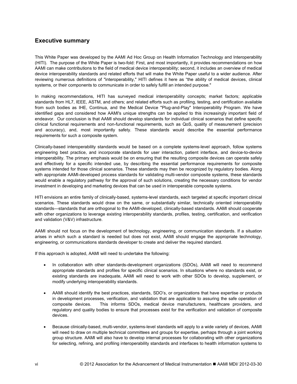#### <span id="page-7-0"></span>**Executive summary**

This White Paper was developed by the AAMI Ad Hoc Group on Health Information Technology and Interoperability (HITI). The purpose of the White Paper is two-fold: First, and most importantly, it provides recommendations on how AAMI can make contributions to the field of medical device interoperability; second, it includes an overview of medical device interoperability standards and related efforts that will make the White Paper useful to a wider audience. After reviewing numerous definitions of "interoperability," HITI defines it here as "the ability of medical devices, clinical systems, or their components to communicate in order to safely fulfill an intended purpose."

In making recommendations, HITI has surveyed medical interoperability concepts; market factors; applicable standards from HL7, IEEE, ASTM, and others; and related efforts such as profiling, testing, and certification available from such bodies as IHE, Continua, and the Medical Device "Plug-and-Play" Interoperability Program. We have identified gaps and considered how AAMI's unique strengths can be applied to this increasingly important field of endeavor. Our conclusion is that AAMI should develop standards for individual clinical scenarios that define specific clinical functional requirements and non-functional requirements, such as QoS, quality of measurement (precision and accuracy), and, most importantly safety. These standards would describe the essential performance requirements for such a composite system.

Clinically-based interoperability standards would be based on a complete systems-level approach, follow systems engineering best practice, and incorporate standards for user interaction, patient interface, and device-to-device interoperability. The primary emphasis would be on ensuring that the resulting composite devices can operate safely and effectively for a specific intended use, by describing the essential performance requirements for composite systems intended for those clinical scenarios. These standards may then be recognized by regulatory bodies. Along with appropriate AAMI-developed process standards for validating multi-vendor composite systems, these standards would enable a regulatory pathway for the approval of such solutions, creating the necessary conditions for vendor investment in developing and marketing devices that can be used in interoperable composite systems.

HITI envisions an entire family of clinically-based, systems-level standards, each targeted at specific important clinical scenarios. These standards would draw on the same, or substantially similar, technically oriented interoperability standards—standards that are orthogonal to the AAMI-developed, clinically-based standards. AAMI should cooperate with other organizations to leverage existing interoperability standards, profiles, testing, certification, and verification and validation (V&V) infrastructure.

AAMI should not focus on the development of technology, engineering, or communication standards. If a situation arises in which such a standard is needed but does not exist, AAMI should engage the appropriate technology, engineering, or communications standards developer to create and deliver the required standard.

If this approach is adopted, AAMI will need to undertake the following:

- In collaboration with other standards-development organizations (SDOs), AAMI will need to recommend appropriate standards and profiles for specific clinical scenarios. In situations where no standards exist, or existing standards are inadequate, AAMI will need to work with other SDOs to develop, supplement, or modify underlying interoperability standards.
- AAMI should identify the best practices, standards, SDO's, or organizations that have expertise or products in development processes, verification, and validation that are applicable to assuring the safe operation of composite devices. This informs SDOs, medical device manufacturers, healthcare providers, and regulatory and quality bodies to ensure that processes exist for the verification and validation of composite devices.
- Because clinically-based, multi-vendor, systems-level standards will apply to a wide variety of devices, AAMI will need to draw on multiple technical committees and groups for expertise, perhaps through a joint working group structure. AAMI will also have to develop internal processes for collaborating with other organizations for selecting, refining, and profiling interoperability standards and interfaces to health information systems to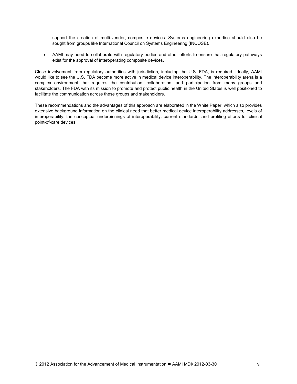support the creation of multi-vendor, composite devices. Systems engineering expertise should also be sought from groups like International Council on Systems Engineering (INCOSE).

• AAMI may need to collaborate with regulatory bodies and other efforts to ensure that regulatory pathways exist for the approval of interoperating composite devices.

Close involvement from regulatory authorities with jurisdiction, including the U.S. FDA, is required. Ideally, AAMI would like to see the U.S. FDA become more active in medical device interoperability. The interoperability arena is a complex environment that requires the contribution, collaboration, and participation from many groups and stakeholders. The FDA with its mission to promote and protect public health in the United States is well positioned to facilitate the communication across these groups and stakeholders.

These recommendations and the advantages of this approach are elaborated in the White Paper, which also provides extensive background information on the clinical need that better medical device interoperability addresses, levels of interoperability, the conceptual underpinnings of interoperability, current standards, and profiling efforts for clinical point-of-care devices.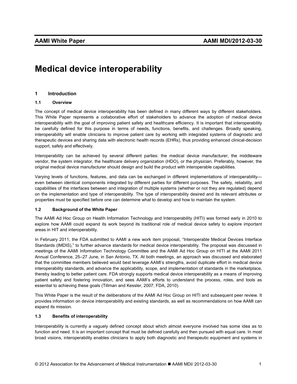### <span id="page-10-0"></span>**Medical device interoperability**

#### **1 Introduction**

#### **1.1 Overview**

The concept of medical device interoperability has been defined in many different ways by different stakeholders. This White Paper represents a collaborative effort of stakeholders to advance the adoption of medical device interoperability with the goal of improving patient safety and healthcare efficiency. It is important that interoperability be carefully defined for this purpose in terms of needs, functions, benefits, and challenges. Broadly speaking, interoperability will enable clinicians to improve patient care by working with integrated systems of diagnostic and therapeutic devices and sharing data with electronic health records (EHRs), thus providing enhanced clinical-decision support, safely and effectively.

Interoperability can be achieved by several different parties: the medical device manufacturer, the middleware vendor, the system integrator, the healthcare delivery organization (HDO), or the physician. Preferably, however, the original medical device manufacturer should design and build the product with interoperable capabilities.

Varying levels of functions, features, and data can be exchanged in different implementations of interoperability even between identical components integrated by different parties for different purposes. The safety, reliability, and capabilities of the interfaces between and integration of multiple systems (whether or not they are regulated) depend on the implementation and type of interoperability. The type of interoperability desired and its relevant attributes or properties must be specified before one can determine what to develop and how to maintain the system.

#### **1.2 Background of the White Paper**

The AAMI Ad Hoc Group on Health Information Technology and Interoperability (HITI) was formed early in 2010 to explore how AAMI could expand its work beyond its traditional role of medical device safety to explore important areas in HIT and interoperability.

In February 2011, the FDA submitted to AAMI a new work item proposal, "Interoperable Medical Devices Interface Standards (IMDIS)," to further advance standards for medical device interoperability. The proposal was discussed in meetings of the AAMI Information Technology Committee and the AAMI Ad Hoc Group on HITI at the AAMI 2011 Annual Conference, 25–27 June, in San Antonio, TX. At both meetings, an approach was discussed and elaborated that the committee members believed would best leverage AAMI's strengths, avoid duplicate effort in medical device interoperability standards, and advance the applicability, scope, and implementation of standards in the marketplace, thereby leading to better patient care. FDA strongly supports medical device interoperability as a means of improving patient safety and fostering innovation, and sees AAMI's efforts to understand the process, roles, and tools as essential to achieving these goals (Tillman and Kessler, 2007; FDA, 2010).

This White Paper is the result of the deliberations of the AAMI Ad Hoc Group on HITI and subsequent peer review. It provides information on device interoperability and existing standards, as well as recommendations on how AAMI can expand its mission.

#### **1.3 Benefits of interoperability**

Interoperability is currently a vaguely defined concept about which almost everyone involved has some idea as to function and need. It is an important concept that must be defined carefully and then pursued with equal care. In most broad visions, interoperability enables clinicians to apply both diagnostic and therapeutic equipment and systems in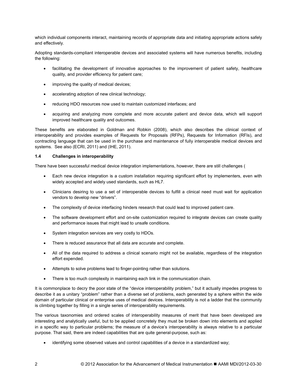<span id="page-11-0"></span>which individual components interact, maintaining records of appropriate data and initiating appropriate actions safely and effectively.

Adopting standards-compliant interoperable devices and associated systems will have numerous benefits, including the following:

- facilitating the development of innovative approaches to the improvement of patient safety, healthcare quality, and provider efficiency for patient care;
- improving the quality of medical devices;
- accelerating adoption of new clinical technology;
- reducing HDO resources now used to maintain customized interfaces; and
- acquiring and analyzing more complete and more accurate patient and device data, which will support improved healthcare quality and outcomes.

These benefits are elaborated in Goldman and Robkin (2008), which also describes the clinical context of interoperability and provides examples of Requests for Proposals (RFPs), Requests for Information (RFIs), and contracting language that can be used in the purchase and maintenance of fully interoperable medical devices and systems. See also (ECRI, 2011) and (IHE, 2011).

#### **1.4 Challenges in interoperability**

There have been successful medical device integration implementations, however, there are still challenges (

- Each new device integration is a custom installation requiring significant effort by implementers, even with widely accepted and widely used standards, such as HL7.
- Clinicians desiring to use a set of interoperable devices to fulfill a clinical need must wait for application vendors to develop new "drivers".
- The complexity of device interfacing hinders research that could lead to improved patient care.
- The software development effort and on-site customization required to integrate devices can create quality and performance issues that might lead to unsafe conditions.
- System integration services are very costly to HDOs.
- There is reduced assurance that all data are accurate and complete.
- All of the data required to address a clinical scenario might not be available, regardless of the integration effort expended.
- Attempts to solve problems lead to finger-pointing rather than solutions.
- There is too much complexity in maintaining each link in the communication chain.

It is commonplace to decry the poor state of the "device interoperability problem," but it actually impedes progress to describe it as a unitary "problem" rather than a diverse set of problems, each generated by a sphere within the wide domain of particular clinical or enterprise uses of medical devices. Interoperability is not a ladder that the community is climbing together by filling in a single series of interoperability requirements.

The various taxonomies and ordered scales of interoperability measures of merit that have been developed are interesting and analytically useful, but to be applied concretely they must be broken down into elements and applied in a specific way to particular problems; the measure of a device's interoperability is always relative to a particular purpose. That said, there are indeed capabilities that are quite general-purpose, such as:

• identifying some observed values and control capabilities of a device in a standardized way;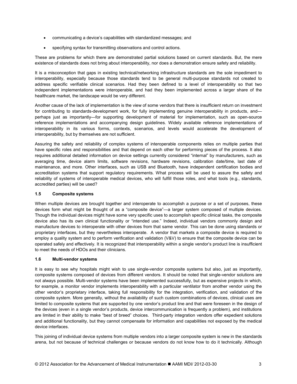- <span id="page-12-0"></span>• communicating a device's capabilities with standardized messages; and
- specifying syntax for transmitting observations and control actions.

These are problems for which there are demonstrated partial solutions based on current standards. But, the mere existence of standards does not bring about interoperability, nor does a demonstration ensure safety and reliability.

It is a misconception that gaps in existing technical/networking infrastructure standards are the sole impediment to interoperability, especially because those standards tend to be general multi-purpose standards not created to address specific verifiable clinical scenarios. Had they been defined to a level of interoperability so that two independent implementations were interoperable, and had they been implemented across a larger share of the healthcare market, the landscape would be very different.

Another cause of the lack of implementation is the view of some vendors that there is insufficient return on investment for contributing to standards-development work, for fully implementing genuine interoperability in products, and perhaps just as importantly—for supporting development of material for implementation, such as open-source reference implementations and accompanying design guidelines. Widely available reference implementations of interoperability in its various forms, contexts, scenarios, and levels would accelerate the development of interoperability, but by themselves are not sufficient.

Assuring the safety and reliability of complex systems of interoperable components relies on multiple parties that have specific roles and responsibilities and that depend on each other for performing pieces of the process. It also requires additional detailed information on device settings currently considered "internal" by manufacturers, such as averaging time, device alarm limits, software revisions, hardware revisions, calibration date/time, last date of maintenance, and more. Other interfaces, such as USB and Bluetooth, have independent certification bodies and accreditation systems that support regulatory requirements. What process will be used to assure the safety and reliability of systems of interoperable medical devices, who will fulfill those roles, and what tools (e.g., standards, accredited parties) will be used?

#### **1.5 Composite systems**

When multiple devices are brought together and interoperate to accomplish a purpose or a set of purposes, these devices form what might be thought of as a "composite device"—a larger system composed of multiple devices. Though the individual devices might have some very specific uses to accomplish specific clinical tasks, the composite device also has its own clinical functionality or "intended use." Indeed, individual vendors commonly design and manufacture devices to interoperate with other devices from that same vendor. This can be done using standards or proprietary interfaces, but they nevertheless interoperate. A vendor that markets a composite device is required to employ a quality system and to perform verification and validation (V&V) to ensure that the composite device can be operated safely and effectively. It is recognized that interoperability within a single vendor's product line is insufficient to meet the needs of HDOs and their clinicians.

#### **1.6 Multi-vendor systems**

It is easy to see why hospitals might wish to use single-vendor composite systems but also, just as importantly, composite systems composed of devices from different vendors. It should be noted that single-vendor solutions are not always possible. Multi-vendor systems have been implemented successfully, but as expensive projects in which, for example, a monitor vendor implements interoperability with a particular ventilator from another vendor using the other vendor's proprietary interface, taking full responsibility for the integration, verification, and validation of the composite system. More generally, without the availability of such custom combinations of devices, clinical uses are limited to composite systems that are supported by one vendor's product line and that were foreseen in the design of the devices (even in a single vendor's products, device intercommunication is frequently a problem), and institutions are limited in their ability to make "best of breed" choices. Third-party integration vendors offer expedient solutions and additional functionality, but they cannot compensate for information and capabilities not exposed by the medical device interfaces.

This joining of individual device systems from multiple vendors into a larger composite system is new in the standards arena, but not because of technical challenges or because vendors do not know how to do it technically. Although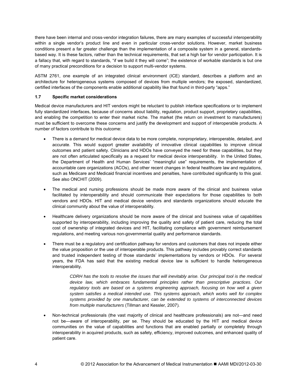<span id="page-13-0"></span>there have been internal and cross-vendor integration failures, there are many examples of successful interoperability within a single vendor's product line and even in particular cross-vendor solutions. However, market business conditions present a far greater challenge than the implementation of a composite system in a general, standardsbased way. It is these factors, rather than the technical requirements, that set a high bar for vendor participation. It is a fallacy that, with regard to standards, "if we build it they will come"; the existence of workable standards is but one of many practical preconditions for a decision to support multi-vendor systems.

ASTM 2761, one example of an integrated clinical environment (ICE) standard, describes a platform and an architecture for heterogeneous systems composed of devices from multiple vendors; the exposed, standardized, certified interfaces of the components enable additional capability like that found in third-party "apps."

#### **1.7 Specific market considerations**

Medical device manufacturers and HIT vendors might be reluctant to publish interface specifications or to implement fully standardized interfaces, because of concerns about liability, regulation, product support, proprietary capabilities, and enabling the competition to enter their market niche. The market (the return on investment to manufacturers) must be sufficient to overcome these concerns and justify the development and support of interoperable products. A number of factors contribute to this outcome:

- There is a demand for medical device data to be more complete, nonproprietary, interoperable, detailed, and accurate. This would support greater availability of innovative clinical capabilities to improve clinical outcomes and patient safety. Clinicians and HDOs have conveyed the need for these capabilities, but they are not often articulated specifically as a request for medical device interoperability. In the United States, the Department of Health and Human Services' "meaningful use" requirements, the implementation of accountable care organizations (ACOs), and other recent changes in federal healthcare law and regulations, such as Medicare and Medicaid financial incentives and penalties, have contributed significantly to this goal. See also ONCHIT (2009).
- The medical and nursing professions should be made more aware of the clinical and business value facilitated by interoperability and should communicate their expectations for those capabilities to both vendors and HDOs. HIT and medical device vendors and standards organizations should educate the clinical community about the value of interoperability.
- Healthcare delivery organizations should be more aware of the clinical and business value of capabilities supported by interoperability, including improving the quality and safety of patient care, reducing the total cost of ownership of integrated devices and HIT, facilitating compliance with government reimbursement regulations, and meeting various non-governmental quality and performance standards.
- There must be a regulatory and certification pathway for vendors and customers that does not impede either the value proposition or the use of interoperable products. This pathway includes provably correct standards and trusted independent testing of those standards' implementations by vendors or HDOs. For several years, the FDA has said that the existing medical device law is sufficient to handle heterogeneous interoperability.

*CDRH has the tools to resolve the issues that will inevitably arise. Our principal tool is the medical device law, which embraces fundamental principles rather than prescriptive practices. Our*  regulatory tools are based on a systems engineering approach, focusing on how well a given *system satisfies a medical intended use. This systems approach, which works well for complex systems provided by one manufacturer, can be extended to systems of interconnected devices from multiple manufacturers* (Tillman and Kessler, 2007)*.* 

• Non-technical professionals (the vast majority of clinical and healthcare professionals) are not—and need not be—aware of interoperability, per se. They should be educated by the HIT and medical device communities on the value of capabilities and functions that are enabled partially or completely through interoperability in acquired products, such as safety, efficiency, improved outcomes, and enhanced quality of patient care.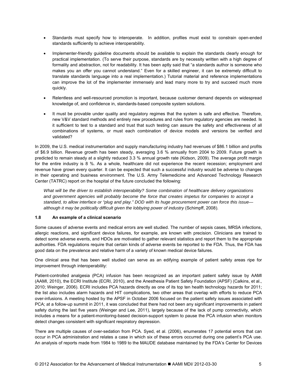- <span id="page-14-0"></span>• Standards must specify how to interoperate. In addition, profiles must exist to constrain open-ended standards sufficiently to achieve interoperability.
- Implementer-friendly guideline documents should be available to explain the standards clearly enough for practical implementation. (To serve their purpose, standards are by necessity written with a high degree of formality and abstraction, not for readability. It has been aptly said that "a standards author is someone who makes you an offer you cannot understand." Even for a skilled engineer, it can be extremely difficult to translate standards language into a real implementation.) Tutorial material and reference implementations can improve the lot of the implementer immensely and lead many more to try and succeed much more quickly.
- Relentless and well-resourced promotion is important, because customer demand depends on widespread knowledge of, and confidence in, standards-based composite system solutions.
- It must be provable under quality and regulatory regimes that the system is safe and effective. Therefore, new V&V standard methods and entirely new procedures and rules from regulatory agencies are needed. Is it sufficient to test to a standard and trust that such testing can assure the safety and effectiveness of all combinations of systems, or must each combination of device models and versions be verified and validated?

In 2009, the U.S. medical instrumentation and supply manufacturing industry had revenues of \$86.1 billion and profits of \$6.9 billion. Revenue growth has been steady, averaging 3.6 % annually from 2004 to 2009. Future growth is predicted to remain steady at a slightly reduced 3.3 % annual growth rate (Kidson, 2009). The average profit margin for the entire industry is 8 %. As a whole, healthcare did not experience the recent recession; employment and revenue have grown every quarter. It can be expected that such a successful industry would be adverse to changes in their operating and business environment. The U.S. Army Telemedicine and Advanced Technology Research Center (TATRC) report on the hospital of the future concluded the following:

*What will be the driver to establish interoperability? Some combination of healthcare delivery organizations and government agencies will probably become the force that creates impetus for companies to accept a standard, to allow interface or "plug and play." DOD with its huge procurement power can force this issue although it may be politically difficult given the lobbying power of industry* (Schimpff, 2008).

#### **1.8 An example of a clinical scenario**

Some causes of adverse events and medical errors are well studied. The number of sepsis cases, MRSA infections, allergic reactions, and significant device failures, for example, are known with precision. Clinicians are trained to detect some adverse events, and HDOs are motivated to gather relevant statistics and report them to the appropriate authorities. FDA regulations require that certain kinds of adverse events be reported to the FDA. Thus, the FDA has good data on the prevalence and relative harm of a variety of known medical device failures.

One clinical area that has been well studied can serve as an edifying example of patient safety areas ripe for improvement through interoperability:

Patient-controlled analgesia (PCA) infusion has been recognized as an important patient safety issue by AAMI (AAMI, 2010), the ECRI Institute (ECRI, 2010), and the Anesthesia Patient Safety Foundation (APSF) (Calkins, et al., 2010; Weinger, 2006). ECRI includes PCA hazards directly as one of its top ten health technology hazards for 2011; the list also includes alarm hazards and HIT complications, two other areas that overlap with efforts to reduce PCA over-infusions. A meeting hosted by the APSF in October 2006 focused on the patient safety issues associated with PCA; at a follow-up summit in 2011, it was concluded that there had not been any significant improvements in patient safety during the last five years (Weinger and Lee, 2011), largely because of the lack of pump connectivity, which includes a means for a patient-monitoring-based decision-support system to pause the PCA infusion when monitors detect changes consistent with significant respiratory depression.

There are multiple causes of over-sedation from PCA. Syed, et al. (2006), enumerates 17 potential errors that can occur in PCA administration and relates a case in which six of these errors occurred during one patient's PCA use. An analysis of reports made from 1984 to 1989 to the MAUDE database maintained by the FDA's Center for Devices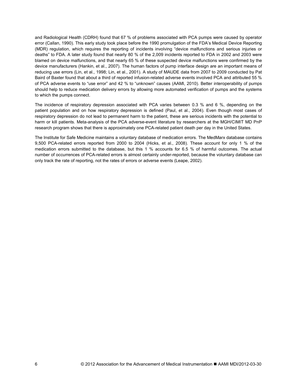and Radiological Health (CDRH) found that 67 % of problems associated with PCA pumps were caused by operator error (Callan, 1990). This early study took place before the 1990 promulgation of the FDA's Medical Device Reporting (MDR) regulation, which requires the reporting of incidents involving "device malfunctions and serious injuries or deaths" to FDA. A later study found that nearly 80 % of the 2,009 incidents reported to FDA in 2002 and 2003 were blamed on device malfunctions, and that nearly 65 % of these suspected device malfunctions were confirmed by the device manufacturers (Hankin, et al., 2007). The human factors of pump interface design are an important means of reducing use errors (Lin, et al., 1998; Lin, et al., 2001). A study of MAUDE data from 2007 to 2009 conducted by Pat Baird of Baxter found that about a third of reported infusion-related adverse events involved PCA and attributed 55 % of PCA adverse events to "use error" and 42 % to "unknown" causes (AAMI, 2010). Better interoperability of pumps should help to reduce medication delivery errors by allowing more automated verification of pumps and the systems to which the pumps connect.

The incidence of respiratory depression associated with PCA varies between 0.3 % and 6 %, depending on the patient population and on how respiratory depression is defined (Paul, et al., 2004). Even though most cases of respiratory depression do not lead to permanent harm to the patient, these are serious incidents with the potential to harm or kill patients. Meta-analysis of the PCA adverse-event literature by researchers at the MGH/CIMIT MD PnP research program shows that there is approximately one PCA-related patient death per day in the United States.

The Institute for Safe Medicine maintains a voluntary database of medication errors. The MedMarx database contains 9,500 PCA-related errors reported from 2000 to 2004 (Hicks, et al., 2008). These account for only 1 % of the medication errors submitted to the database, but this 1 % accounts for 6.5 % of harmful outcomes. The actual number of occurrences of PCA-related errors is almost certainly under-reported, because the voluntary database can only track the rate of reporting, not the rates of errors or adverse events (Leape, 2002).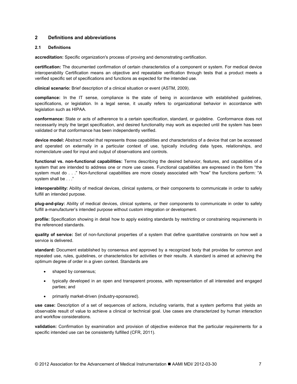#### <span id="page-16-0"></span>**2 Definitions and abbreviations**

#### **2.1 Definitions**

**accreditation:** Specific organization's process of proving and demonstrating certification.

**certification:** The documented confirmation of certain characteristics of a component or system. For medical device interoperability Certification means an objective and repeatable verification through tests that a product meets a verified specific set of specifications and functions as expected for the intended use.

**clinical scenario:** Brief description of a clinical situation or event (ASTM, 2009).

**compliance:** In the IT sense, compliance is the state of being in accordance with established guidelines, specifications, or legislation. In a legal sense, it usually refers to organizational behavior in accordance with legislation such as HIPAA.

**conformance:** State or acts of adherence to a certain specification, standard, or guideline. Conformance does not necessarily imply the target specification, and desired functionality may work as expected until the system has been validated or that conformance has been independently verified.

**device model:** Abstract model that represents those capabilities and characteristics of a device that can be accessed and operated on externally in a particular context of use, typically including data types, relationships, and nomenclature used for input and output of observations and controls.

**functional vs. non-functional capabilities:** Terms describing the desired behavior, features, and capabilities of a system that are intended to address one or more use cases. Functional capabilities are expressed in the form "the system must do . . ." Non-functional capabilities are more closely associated with "how" the functions perform: "A system shall be . . ."

**interoperability:** Ability of medical devices, clinical systems, or their components to communicate in order to safely fulfill an intended purpose.

**plug-and-play:** Ability of medical devices, clinical systems, or their components to communicate in order to safely fulfill a-manufacturer's intended purpose without custom integration or development.

**profile:** Specification showing in detail how to apply existing standards by restricting or constraining requirements in the referenced standards.

**quality of service:** Set of non-functional properties of a system that define quantitative constraints on how well a service is delivered.

**standard:** Document established by consensus and approved by a recognized body that provides for common and repeated use, rules, guidelines, or characteristics for activities or their results. A standard is aimed at achieving the optimum degree of order in a given context. Standards are

- shaped by consensus;
- typically developed in an open and transparent process, with representation of all interested and engaged parties; and
- primarily market-driven (industry-sponsored).

**use case:** Description of a set of sequences of actions, including variants, that a system performs that yields an observable result of value to achieve a clinical or technical goal. Use cases are characterized by human interaction and workflow considerations.

**validation:** Confirmation by examination and provision of objective evidence that the particular requirements for a specific intended use can be consistently fulfilled (CFR, 2011).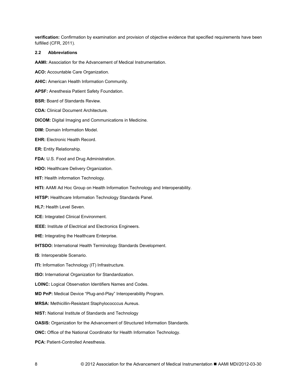<span id="page-17-0"></span>**verification:** Confirmation by examination and provision of objective evidence that specified requirements have been fulfilled (CFR, 2011).

#### **2.2 Abbreviations**

**AAMI:** Association for the Advancement of Medical Instrumentation.

**ACO:** Accountable Care Organization.

**AHIC:** American Health Information Community.

**APSF:** Anesthesia Patient Safety Foundation.

**BSR:** Board of Standards Review.

**CDA:** Clinical Document Architecture.

**DICOM:** Digital Imaging and Communications in Medicine.

**DIM:** Domain Information Model.

**EHR:** Electronic Health Record.

**ER:** Entity Relationship.

**FDA:** U.S. Food and Drug Administration.

**HDO:** Healthcare Delivery Organization.

**HIT:** Health information Technology.

**HITI:** AAMI Ad Hoc Group on Health Information Technology and Interoperability.

**HITSP:** Healthcare Information Technology Standards Panel.

**HL7:** Health Level Seven.

**ICE:** Integrated Clinical Environment.

**IEEE:** Institute of Electrical and Electronics Engineers.

**IHE:** Integrating the Healthcare Enterprise.

**IHTSDO:** International Health Terminology Standards Development.

**IS**: Interoperable Scenario.

**ITI:** Information Technology (IT) Infrastructure.

**ISO:** International Organization for Standardization.

**LOINC:** Logical Observation Identifiers Names and Codes.

**MD PnP:** Medical Device "Plug-and-Play" Interoperability Program.

**MRSA:** Methicillin-Resistant Staphylococccus Aureus.

**NIST:** National Institute of Standards and Technology

**OASIS:** Organization for the Advancement of Structured Information Standards.

**ONC:** Office of the National Coordinator for Health Information Technology.

**PCA: Patient-Controlled Anesthesia.**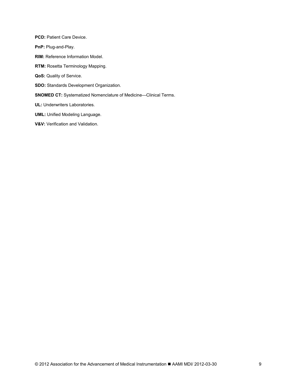**PCD: Patient Care Device. PnP:** Plug-and-Play. **RIM:** Reference Information Model. **RTM:** Rosetta Terminology Mapping. **QoS:** Quality of Service. **SDO:** Standards Development Organization. **SNOMED CT:** Systematized Nomenclature of Medicine—Clinical Terms. **UL:** Underwriters Laboratories. **UML:** Unified Modeling Language.

#### **V&V:** Verification and Validation.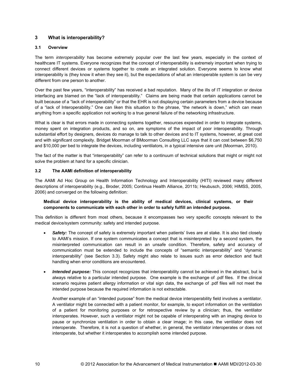#### <span id="page-19-0"></span>**3 What is interoperability?**

#### **3.1 Overview**

The term *interoperability* has become extremely popular over the last few years, especially in the context of healthcare IT systems. Everyone recognizes that the concept of interoperability is extremely important when trying to connect different devices or systems together to create an integrated solution. Everyone seems to know what interoperability is (they know it when they see it), but the expectations of what an interoperable system is can be very different from one person to another.

Over the past few years, "interoperability" has received a bad reputation. Many of the ills of IT integration or device interfacing are blamed on the "lack of interoperability." Claims are being made that certain applications cannot be built because of a "lack of interoperability" or that the EHR is not displaying certain parameters from a device because of a "lack of Interoperability." One can liken this situation to the phrase, "the network is down," which can mean anything from a specific application not working to a true general failure of the networking infrastructure.

What is clear is that errors made in connecting systems together, resources expended in order to integrate systems, money spent on integration products, and so on, are symptoms of the impact of poor interoperability. Through substantial effort by designers, devices do manage to talk to other devices and to IT systems, however, at great cost and with significant complexity. Bridget Moorman of BMoorman Consulting LLC says that it can cost between \$6,750 and \$10,000 per bed to integrate the devices, including ventilators, in a typical intensive care unit (Moorman, 2010).

The fact of the matter is that "interoperability" can refer to a continuum of technical solutions that might or might not solve the problem at hand for a specific clinician.

#### **3.2 The AAMI definition of interoperability**

The AAMI Ad Hoc Group on Health Information Technology and Interoperability (HITI) reviewed many different descriptions of interoperability (e.g., Broder, 2005; Continua Health Alliance, 2011b; Heubusch, 2006; HIMSS, 2005, 2006) and converged on the following definition:

#### **Medical device interoperability is the ability of medical devices, clinical systems, or their components to communicate with each other in order to safely fulfill an intended purpose.**

This definition is different from most others, because it encompasses two very specific concepts relevant to the medical device/system community: safety and intended purpose.

- *Safety:* The concept of safety is extremely important when patients' lives are at stake. It is also tied closely to AAMI's mission. If one system communicates a concept that is misinterpreted by a second system, the misinterpreted communication can result in an unsafe condition. Therefore, safety and accuracy of communication must be extended to include the concepts of "semantic interoperability" and "dynamic interoperability" (see Section 3.3). Safety might also relate to issues such as error detection and fault handling when error conditions are encountered.
- *Intended purpose:* This concept recognizes that interoperability cannot be achieved in the abstract, but is always relative to a particular intended purpose. One example is the exchange of .pdf files. If the clinical scenario requires patient allergy information or vital sign data, the exchange of .pdf files will not meet the intended purpose because the required information is not extractable.

Another example of an "intended purpose" from the medical device interoperability field involves a ventilator. A ventilator might be connected with a patient monitor, for example, to export information on the ventilation of a patient for monitoring purposes or for retrospective review by a clinician; thus, the ventilator interoperates. However, such a ventilator might not be capable of interoperating with an imaging device to pause or synchronize ventilation in order to obtain a clear image; in this case, the ventilator does not interoperate. Therefore, it is not a question of whether, in general, the ventilator interoperates or does not interoperate, but whether it interoperates to accomplish some intended purpose.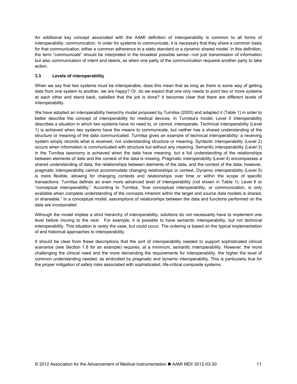<span id="page-20-0"></span>An additional key concept associated with the AAMI definition of interoperability is common to all forms of interoperability: communication. In order for systems to communicate, it is necessary that they share a common basis for that communication, either a common adherence to a static standard or a dynamic shared model. In this definition, the term "communicate" should be interpreted in the broadest possible sense—not just transmission of information but also communication of intent and desire, as when one party of the communication requests another party to take action.

#### **3.3 Levels of interoperability**

When we say that two systems must be interoperable, does this mean that as long as there is some way of getting data from one system to another, we are happy? Or, do we expect that one only needs to point two or more systems at each other and stand back, satisfied that the job is done? It becomes clear that there are different levels of interoperability.

We have adopted an interoperability hierarchy model proposed by Turnitsa (2005) and adapted it (Table 1) in order to better describe the concept of interoperability for medical devices. In Turnitsa's model, Level 0 interoperability describes a situation in which two systems have no need to, or cannot, interoperate. Technical interoperability (Level 1) is achieved when two systems have the means to communicate, but neither has a shared understanding of the structure or meaning of the data communicated. Turnitsa gives an example of technical interoperability: a receiving system simply records what is received, not understanding structure or meaning. Syntactic interoperability (Level 2) occurs when information is communicated with structure but without any meaning. Semantic interoperability (Level 3) in the Turnitsa taxonomy is achieved when the data have meaning, but a full understanding of the relationships between elements of data and the context of the data is missing. Pragmatic interoperability (Level 4) encompasses a shared understanding of data, the relationships between elements of the data, and the context of the data; however, pragmatic interoperability cannot accommodate changing relationships or context. Dynamic interoperability (Level 5) is more flexible, allowing for changing contexts and relationships over time or within the scope of specific transactions. Turnitsa defines an even more advanced level of interoperability (not shown in Table 1): Level 6 or "conceptual interoperability." According to Turnitsa, "true conceptual interoperability, or communication, is only available when complete understanding of the concepts inherent within the target and source data models is shared, or shareable." In a conceptual model, assumptions of relationships between the data and functions performed on the data are incorporated.

Although the model implies a strict hierarchy of interoperability, solutions do not necessarily have to implement one level before moving to the next. For example, it is possible to have semantic interoperability, but not technical interoperability. This situation is rarely the case, but could occur. The ordering is based on the typical implementation of and historical approaches to interoperability.

It should be clear from these descriptions that the sort of interoperability needed to support sophisticated clinical scenarios (see Section 1.8 for an example) requires, at a minimum, semantic interoperability. However, the more challenging the clinical need and the more demanding the requirements for interoperability, the higher the level of common understanding needed, as embodied by pragmatic and dynamic interoperability. This is particularly true for the proper mitigation of safety risks associated with sophisticated, life-critical composite systems.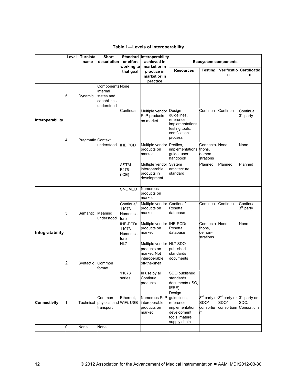#### **Table 1—Levels of interoperability**

<span id="page-21-0"></span>

|                     | Level | <b>Turnista</b>   | <b>Short</b>                                                            |                                         | Standard Interoperability                                                       |                                                                                                       |                                                 |                                                                        |                                                |
|---------------------|-------|-------------------|-------------------------------------------------------------------------|-----------------------------------------|---------------------------------------------------------------------------------|-------------------------------------------------------------------------------------------------------|-------------------------------------------------|------------------------------------------------------------------------|------------------------------------------------|
|                     |       | name              | description                                                             | or effort                               | achieved in                                                                     | <b>Ecosystem components</b>                                                                           |                                                 |                                                                        |                                                |
|                     |       |                   |                                                                         | working to                              | market or in                                                                    |                                                                                                       | Testing                                         | Verificatio                                                            | Certificatio                                   |
|                     |       |                   |                                                                         | that goal                               | practice in<br>market or in<br>practice                                         | <b>Resources</b>                                                                                      |                                                 | n                                                                      | n                                              |
|                     | 5     | Dynamic           | Components None<br>internal<br>states and<br>capabilities<br>understood |                                         |                                                                                 |                                                                                                       |                                                 |                                                                        |                                                |
| Interoperability    | 4     | Pragmatic Context | understood                                                              | Continua                                | Multiple vendor<br>PnP products<br>on market                                    | Design<br>guidelines,<br>reference<br>implementations,<br>testing tools,<br>certification<br>process  | Continua                                        | Continua                                                               | Continua,<br>3 <sup>rd</sup> party             |
|                     |       |                   |                                                                         | <b>IHE PCD</b>                          | Multiple vendor<br>products on<br>market                                        | Profiles,<br>implementations<br>guide, user<br>handbook                                               | Connecta- None<br>thons,<br>demon-<br>strations |                                                                        | None                                           |
|                     |       |                   |                                                                         | <b>ASTM</b><br>F2761<br>(ICE)           | Multiple vendor System<br>interoperable<br>products in<br>development           | architecture<br>standard                                                                              | Planned                                         | Planned                                                                | Planned                                        |
|                     | З     | Semantic          | Meaning<br>understood                                                   | <b>SNOMED</b>                           | <b>Numerous</b><br>products on<br>market                                        |                                                                                                       |                                                 |                                                                        |                                                |
|                     |       |                   |                                                                         | Continua/<br>11073<br>Nomencla-<br>ture | Multiple vendor<br>products on<br>market                                        | Continua/<br>Rosetta<br>database                                                                      | Continua                                        | Continua                                                               | Continua,<br>3 <sup>rd</sup> party             |
| Integratability     |       |                   |                                                                         | IHE-PCD/<br>11073<br>Nomencla-<br>ture  | Multiple vendor IHE-PCD/<br>products on<br>market                               | Rosetta<br>database                                                                                   | Connecta-None<br>thons,<br>demon-<br>strations  |                                                                        | None                                           |
|                     | 2     | Syntactic         | Common<br>format                                                        | HL7                                     | Multiple vendor<br>products on<br>market. Not<br>interoperable<br>off-the-shelf | HL7 SDO<br>published<br>standards<br>documents                                                        |                                                 |                                                                        |                                                |
|                     |       |                   |                                                                         | 11073<br>series                         | In use by all<br>Continua<br>products                                           | SDO published<br>standards<br>documents (ISO,<br>IEEE)                                                |                                                 |                                                                        |                                                |
| <b>Connectivity</b> | 1     | Technical         | Common<br>physical and WiFi, USB<br>transport                           | Ethernet,                               | Numerous PnP<br>interoperable<br>products on<br>market                          | Design<br>guidelines,<br>reference<br>implementation,<br>development<br>tools, mature<br>supply chain | SDO/<br>consortiu<br>m                          | 3 <sup>rd</sup> party or <sup>3rd</sup> party or<br>SDO/<br>consortium | 3 <sup>rd</sup> party or<br>SDO/<br>Consortium |
|                     | 0     | None              | None                                                                    |                                         |                                                                                 |                                                                                                       |                                                 |                                                                        |                                                |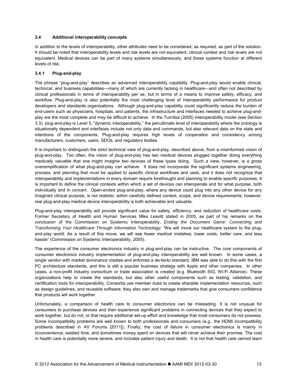#### <span id="page-22-0"></span>**3.4 Additional interoperability concepts**

In addition to the levels of interoperability, other attributes need to be considered, as required, as part of the solution. It should be noted that interoperability levels and risk levels are not equivalent; clinical context and risk levels are not equivalent. Medical devices can be part of many systems simultaneously, and those systems function at different levels of risk.

#### **3.4.1 Plug-and-play**

The phrase "plug-and-play" describes an advanced interoperability capability. Plug-and-play would enable clinical, technical, and business capabilities—many of which are currently lacking in healthcare—and often not described by clinical professionals in terms of interoperability per se, but in terms of a means to improve safety, efficacy, and workflow. Plug-and-play is also potentially the most challenging level of interoperability performance for product developers and standards organizations. Although plug-and-play capability could significantly reduce the burden of end-users such as physicians, hospitals, and patients, the infrastructure and interfaces needed to achieve plug-andplay are the most complete and may be difficult to achieve. In the Turnitsa (2005) interoperability model (see Section 3.3), plug-and-play is Level 5, "dynamic interoperability," the penultimate level of interoperability where the ontology is situationally dependent and interfaces include not only data and commands, but also relevant data on the state and intentions of the components. Plug-and-play requires high levels of cooperation and consistency among manufacturers, customers, users, SDOs, and regulatory bodies.

It is important to distinguish the strict technical view of plug-and-play, described above, from a misinformed vision of plug-and-play. Too often, the vision of plug-and-play has two medical devices plugged together doing everything medically valuable that one might imagine two devices of these types doing. Such a view, however, is a gross oversimplification of what plug-and-play can achieve. It does not incorporate the significant systems engineering, process, and planning that must be applied to specific clinical workflows and uses, and it does not recognize that interoperability and implementations in every domain require forethought and planning to enable specific purposes. It is important to define the clinical contexts within which a set of devices can interoperate and for what purpose, both individually and in concert. Open-ended plug-and-play, where any device could plug into any other device for any imagined clinical purpose, is not realistic; within carefully defined context, scope, and device requirements, however, real plug-and-play medical device interoperability is both achievable and valuable.

Plug-and-play interoperability will provide significant value for safety, efficiency, and reduction of healthcare costs. Former Secretary of Health and Human Services Mike Leavitt stated in 2005, as part of his remarks on the conclusion of the Commission on Systemic Interoperability, *Ending the Document Game: Connecting and Transforming Your Healthcare Through Information Technology:* "We will move our healthcare system to the plugand-play world. As a result of this move, we will see fewer medical mistakes, lower costs, better care, and less hassle" (Commission on Systemic Interoperability, 2005).

The experience of the consumer electronics industry in plug-and-play can be instructive. The core components of consumer electronics industry implementation of plug-and-play interoperability are well known. In some cases, a single vendor with market dominance creates and enforces a de-facto standard. IBM was able to do this with the first PC architecture standards, and this is still a popular business strategy with Apple and other companies. In other cases, a non-profit industry consortium or trade association is created (e.g. Bluetooth SIG, Wi-Fi Alliance). These organizations help to create the standards, but also other useful components such as testing, validation, and certification tools for interoperability. Consortia use member dues to create sharable implementation resources, such as design guidelines, and reusable software; they also own and manage trademarks that give consumers confidence that products will work together.

Unfortunately, a comparison of health care to consumer electronics can be misleading. It is not unusual for consumers to purchase devices and then experience significant problems in connecting devices that they expect to work together, but do not, or that require additional set-up effort and knowledge that most consumers do not possess. Some incompatibility problems are well known to both professionals and consumers (e.g., the HDMI incompatibility problems described in AV Forums [2011]). Finally, the cost of failure in consumer electronics is mainly in inconvenience, wasted time, and sometimes money spent on devices that will never achieve their promise. The cost in health care is potentially more severe, and includes patient injury and death. It is not that health care cannot learn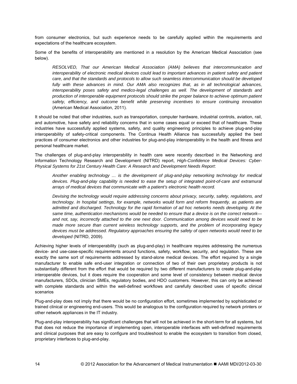from consumer electronics, but such experience needs to be carefully applied within the requirements and expectations of the healthcare ecosystem.

Some of the benefits of interoperability are mentioned in a resolution by the American Medical Association (see below).

*RESOLVED, That our American Medical Association (AMA) believes that intercommunication and interoperability of electronic medical devices could lead to important advances in patient safety and patient care, and that the standards and protocols to allow such seamless intercommunication should be developed*  fully with these advances in mind. Our AMA also recognizes that, as in all technological advances, interoperability poses safety and medico-legal challenges as well. The development of standards and *production of interoperable equipment protocols should strike the proper balance to achieve optimum patient*  safety, efficiency, and outcome benefit while preserving incentives to ensure continuing innovation (American Medical Association, 2011).

It should be noted that other industries, such as transportation, computer hardware, industrial controls, aviation, rail, and automotive, have safety and reliability concerns that in some cases equal or exceed that of healthcare. These industries have successfully applied systems, safety, and quality engineering principles to achieve plug-and-play interoperability of safety-critical components. The Continua Health Alliance has successfully applied the best practices of consumer electronics and other industries for plug-and-play interoperability in the health and fitness and personal healthcare market.

The challenges of plug-and-play interoperability in health care were recently described in the Networking and Information Technology Research and Development (NITRD) report, *High-Confidence Medical Devices: Cyber-Physical Systems for 21st Century Health Care: A Research and Development Needs Report*:

*Another enabling technology … is the development of plug-and-play networking technology for medical devices. Plug-and-play capability is needed to ease the setup of integrated point-of-care and extramural arrays of medical devices that communicate with a patient's electronic health record.* 

*Devising the technology would require addressing concerns about privacy, security, safety, regulations, and technology. In hospital settings, for example, networks would form and reform frequently, as patients are admitted and discharged. Technology for the rapid formation of ad hoc networks needs developing. At the same time, authentication mechanisms would be needed to ensure that a device is on the correct network and not, say, incorrectly attached to the one next door. Communication among devices would need to be made more secure than current wireless technology supports, and the problem of incorporating legacy devices must be addressed. Regulatory approaches ensuring the safety of open networks would need to be developed* (NITRD, 2009).

Achieving higher levels of interoperability (such as plug-and-play) in healthcare requires addressing the numerous device- and use-case-specific requirements around functions, safety, workflow, security, and regulation. These are exactly the same sort of requirements addressed by stand-alone medical devices. The effort required by a single manufacturer to enable safe end-user integration or connection of two of their own proprietary products is not substantially different from the effort that would be required by two different manufacturers to create plug-and-play interoperable devices, but it does require the cooperation and some level of consistency between medical device manufacturers, SDOs, clinician SMEs, regulatory bodies, and HDO customers. However, this can only be achieved with complete standards and within the well-defined workflows and carefully described uses of specific clinical scenarios

Plug-and-play does not imply that there would be no configuration effort, sometimes implemented by sophisticated or trained clinical or engineering end-users. This would be analogous to the configuration required by network printers or other network appliances in the IT industry.

Plug-and-play interoperability has significant challenges that will not be achieved in the short-term for all systems, but that does not reduce the importance of implementing open, interoperable interfaces with well-defined requirements and clinical purposes that are easy to configure and troubleshoot to enable the ecosystem to transition from closed, proprietary interfaces to plug-and-play.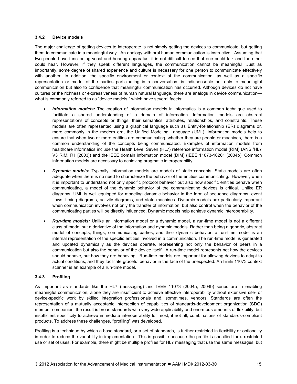#### <span id="page-24-0"></span>**3.4.2 Device models**

The major challenge of getting devices to interoperate is not simply getting the devices to communicate, but getting them to communicate in a meaningful way. An analogy with oral human communication is instructive. Assuming that two people have functioning vocal and hearing apparatus, it is not difficult to see that one could talk and the other could hear. However, if they speak different languages, the communication cannot be meaningful. Just as importantly, some degree of shared experience and culture is necessary for one person to communicate effectively with another. In addition, the specific environment or context of the communication, as well as a specific representation or model of the parties participating in a conversation, is indispensable not only to meaningful communication but also to confidence that meaningful communication has occurred. Although devices do not have cultures or the richness or expressiveness of human natural language, there are analogs in device communication what is commonly referred to as "device models," which have several facets:

- *Information models:* The creation of information models in informatics is a common technique used to facilitate a shared understanding of a domain of information. Information models are abstract representations of concepts or things, their semantics, attributes, relationships, and constraints. These models are often represented using a graphical language such as Entity-Relationship (ER) diagrams or, more commonly in the modern era, the Unified Modeling Language (UML). Information models help to ensure that when two or more entities are communicating, whether they are people or machines, there is a common understanding of the concepts being communicated. Examples of information models from healthcare informatics include the Health Level Seven (HL7) reference information model (RIM) (ANSI/HL7 V3 RIM, R1 [2003]) and the IEEE domain information model (DIM) (IEEE 11073-10201 [2004b). Common information models are necessary to achieving pragmatic interoperability.
- *Dynamic models:* Typically, information models are models of static concepts. Static models are often adequate when there is no need to characterize the behavior of the entities communicating. However, when it is important to understand not only specific protocol behavior but also how specific entities behave when communicating, a model of the dynamic behavior of the communicating devices is critical. Unlike ER diagrams, UML is well equipped for modeling dynamic behavior in the form of sequence diagrams, event flows, timing diagrams, activity diagrams, and state machines. Dynamic models are particularly important when communication involves not only the transfer of information, but also control when the behavior of the communicating parties will be directly influenced. Dynamic models help achieve dynamic interoperability.
- *Run-time models:* Unlike an information model or a dynamic model, a run-time model is not a different class of model but a derivative of the information and dynamic models. Rather than being a generic, abstract model of concepts, things, communicating parties, and their dynamic behavior, a run-time model is an internal representation of the specific entities involved in a communication. The run-time model is generated and updated dynamically as the devices operate, representing not only the behavior of peers in a communication but also the behavior of the device itself. A run-time model represents not how the devices should behave, but how they are behaving. Run-time models are important for allowing devices to adapt to actual conditions, and they facilitate graceful behavior in the face of the unexpected. An IEEE 11073 context scanner is an example of a run-time model.

#### **3.4.3 Profiling**

As important as standards like the HL7 (messaging) and IEEE 11073 (2004a; 2004b) series are in enabling meaningful communication, alone they are insufficient to achieve effective interoperability without extensive site- or device-specific work by skilled integration professionals and, sometimes, vendors. Standards are often the representation of a mutually acceptable intersection of capabilities of standards-development organization (SDO) member companies; the result is broad standards with very wide applicability and enormous amounts of flexibility, but insufficient specificity to achieve immediate interoperability for most, if not all, combinations of standards-compliant products. To address these challenges, "profiling" was developed.

Profiling is a technique by which a base standard, or a set of standards, is further restricted in flexibility or optionality in order to reduce the variability in implementation. This is possible because the profile is specified for a restricted use or set of uses. For example, there might be multiple profiles for HL7 messaging that use the same messages, but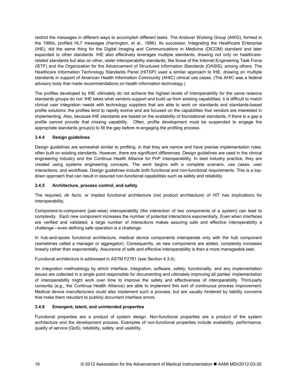<span id="page-25-0"></span>restrict the messages in different ways to accomplish different tasks. The Andover Working Group (AWG), formed in the 1990s, profiled HL7 messages (Harrington, et al., 1998). Its successor, Integrating the Healthcare Enterprise (IHE), did the same thing for the Digital Imaging and Communications in Medicine (DICOM) standard and later expanded to other standards. IHE also effectively leverages multiple standards, drawing not only on healthcarerelated standards but also on other, wider interoperability standards, like those of the Internet Engineering Task Force (IETF) and the Organization for the Advancement of Structured Information Standards (OASIS), among others. The Healthcare Information Technology Standards Panel (HITSP) used a similar approach to IHE, drawing on multiple standards in support of American Health Information Community (AHIC) clinical use cases. (The AHIC was a federal advisory body that made recommendations on health information technology.)

The profiles developed by IHE ultimately do not achieve the highest levels of interoperability for the same reasons standards groups do not: IHE takes what vendors support and build up from existing capabilities; it is difficult to match clinical user integration needs with technology suppliers that are able to work on standards and standards-based profile solutions; the profiles tend to rapidly evolve and are focused on the capabilities that vendors are interested in implementing. Also, because IHE standards are based on the availability of foundational standards, if there is a gap a profile cannot provide that missing capability. Often, profile development must be suspended to engage the appropriate standards group(s) to fill the gap before re-engaging the profiling process.

#### **3.4.4 Design guidelines**

Design guidelines are somewhat similar to profiling, in that they are narrow and have precise implementation rules, often built on existing standards. However, there are significant differences. Design guidelines are used in the clinical engineering industry and the Continua Health Alliance for PnP interoperability. In best industry practice, they are created using systems engineering concepts. The work begins with a complete scenario, use cases, user interactions, and workflows. Design guidelines include both functional and non-functional requirements. This is a topdown approach that can result in assured non-functional capabilities such as safety and reliability.

#### **3.4.5 Architecture, process control, and safety**

The required, *de facto,* or implied functional architecture (not product architecture) of HIT has implications for interoperability.

Component-to-component (pair-wise) interoperability (the interaction of two components of a system) can lead to complexity. Each new component increases the number of potential interactions exponentially. Even when interfaces are verified and validated, a large number of interactions makes assuring safe and effective interoperability a challenge—even defining safe operation is a challenge.

In hub-and-spoke functional architecture, medical device components interoperate only with the hub component (sometimes called a manager or aggregator). Consequently, as new components are added, complexity increases linearly rather than exponentially. Assurance of safe and effective interoperability is then a more manageable task.

Functional architecture is addressed in ASTM F2761 (see Section 4.3.4).

An integration methodology by which interface, integration, software, safety, functionality, and any implementation issues are collected in a single point responsible for documenting and ultimately improving all parties' implementation of interoperability might work over time to improve the safety and effectiveness of interoperability. Third-party consortia (e.g., the Continua Health Alliance) are able to implement this sort of continuous process improvement. Medical device manufacturers could also implement such a process, but are usually hindered by liability concerns that make them reluctant to publicly document interface errors.

#### **3.4.6 Emergent, latent, and unintended properties**

Functional properties are a product of system design. Non-functional properties are a product of the system architecture and the development process. Examples of non-functional properties include availability, performance, quality of service (QoS), reliability, safety, and usability.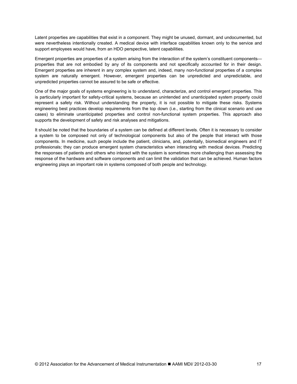Latent properties are capabilities that exist in a component. They might be unused, dormant, and undocumented, but were nevertheless intentionally created. A medical device with interface capabilities known only to the service and support employees would have, from an HDO perspective, latent capabilities.

Emergent properties are properties of a system arising from the interaction of the system's constituent components properties that are not embodied by any of its components and not specifically accounted for in their design. Emergent properties are inherent in any complex system and, indeed, many non-functional properties of a complex system are naturally emergent. However, emergent properties can be unpredicted and unpredictable, and unpredicted properties cannot be assured to be safe or effective.

One of the major goals of systems engineering is to understand, characterize, and control emergent properties. This is particularly important for safety-critical systems, because an unintended and unanticipated system property could represent a safety risk. Without understanding the property, it is not possible to mitigate these risks. Systems engineering best practices develop requirements from the top down (i.e., starting from the clinical scenario and use cases) to eliminate unanticipated properties and control non-functional system properties. This approach also supports the development of safety and risk analyses and mitigations.

It should be noted that the boundaries of a system can be defined at different levels. Often it is necessary to consider a system to be composed not only of technological components but also of the people that interact with those components. In medicine, such people include the patient, clinicians, and, potentially, biomedical engineers and IT professionals; they can produce emergent system characteristics when interacting with medical devices. Predicting the responses of patients and others who interact with the system is sometimes more challenging than assessing the response of the hardware and software components and can limit the validation that can be achieved. Human factors engineering plays an important role in systems composed of both people and technology.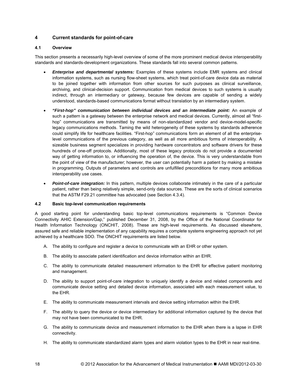#### <span id="page-27-0"></span>**4 Current standards for point-of-care**

#### **4.1 Overview**

This section presents a necessarily high-level overview of some of the more prominent medical device interoperability standards and standards-development organizations. These standards fall into several common patterns.

- *Enterprise and departmental systems:* Examples of these systems include EMR systems and clinical information systems, such as nursing flow-sheet systems, which treat point-of-care device data as material to be joined together with information from other sources for such purposes as clinical surveillance, archiving, and clinical-decision support. Communication from medical devices to such systems is usually indirect, through an intermediary or gateway, because few devices are capable of sending a widely understood, standards-based communications format without translation by an intermediary system.
- *"First-hop" communication between individual devices and an intermediate point:* An example of such a pattern is a gateway between the enterprise network and medical devices. Currently, almost all "firsthop" communications are transmitted by means of non-standardized vendor and device-model-specific legacy communications methods. Taming the wild heterogeneity of these systems by standards adherence could simplify life for healthcare facilities. "First-hop" communications form an element of all the enterpriselevel communications of the previous category, as well as all more ambitious forms of interoperability. A sizeable business segment specializes in providing hardware concentrators and software drivers for these hundreds of one-off protocols. Additionally, most of these legacy protocols do not provide a documented way of getting information to, or influencing the operation of, the device. This is very understandable from the point of view of the manufacturer; however, the user can potentially harm a patient by making a mistake in programming. Outputs of parameters and controls are unfulfilled preconditions for many more ambitious interoperability use cases.
- *Point-of-care integration:* In this pattern, multiple devices collaborate intimately in the care of a particular patient, rather than being relatively simple, send-only data sources. These are the sorts of clinical scenarios that the ASTM F29.21 committee has advocated (see Section 4.3.4).

#### **4.2 Basic top-level communication requirements**

A good starting point for understanding basic top-level communications requirements is "Common Device Connectivity AHIC Extension/Gap," published December 31, 2008, by the Office of the National Coordinator for Health Information Technology (ONCHIT, 2008). These are high-level requirements. As discussed elsewhere, assured safe and reliable implementation of any capability requires a complete systems engineering approach not yet achieved by a healthcare SDO. The ONCHIT requirements are listed below.

- A. The ability to configure and register a device to communicate with an EHR or other system.
- B. The ability to associate patient identification and device information within an EHR.
- C. The ability to communicate detailed measurement information to the EHR for effective patient monitoring and management.
- D. The ability to support point-of-care integration to uniquely identify a device and related components and communicate device setting and detailed device information, associated with each measurement value, to the EHR.
- E. The ability to communicate measurement intervals and device setting information within the EHR.
- F. The ability to query the device or device intermediary for additional information captured by the device that may not have been communicated to the EHR.
- G. The ability to communicate device and measurement information to the EHR when there is a lapse in EHR connectivity.
- H. The ability to communicate standardized alarm types and alarm violation types to the EHR in near real-time.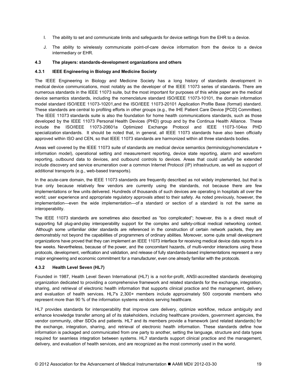- <span id="page-28-0"></span>I. The ability to set and communicate limits and safeguards for device settings from the EHR to a device.
- J. The ability to wirelessly communicate point-of-care device information from the device to a device intermediary or EHR.

#### **4.3 The players: standards-development organizations and others**

#### **4.3.1 IEEE Engineering in Biology and Medicine Society**

The IEEE Engineering in Biology and Medicine Society has a long history of standards development in medical device communications, most notably as the developer of the IEEE 11073 series of standards. There are numerous standards in the IEEE 11073 suite, but the most important for purposes of this white paper are the medical device semantics standards, including the nomenclature standard ISO/IEEE 11073-10101, the domain information model standard ISO/IEEE 11073-10201,and the ISO/IEEE 11073-20101 Application Profile Base (format) standard. These standards are central to profiling efforts in other groups (e.g., the IHE Patient Care Device [PCD] Committee). The IEEE 11073 standards suite is also the foundation for home health communications standards, such as those developed by the IEEE 11073 Personal Health Devices (PHD) group and by the Continua Health Alliance. These include the ISO/IEEE 11073-20601a Optimized Exchange Protocol and IEEE 11073-104xx PHD specialization standards. It should be noted that, in general, all IEEE 11073 standards have also been officially approved within ISO and CEN, so that IEEE 11073 standards are harmonized within all three standards bodies.

Areas well covered by the IEEE 11073 suite of standards are medical device semantics (terminology/nomenclature + information model), operational setting and measurement reporting, device state reporting, alarm and waveform reporting, outbound data to devices, and outbound controls to devices. Areas that could usefully be extended include discovery and service enumeration over a common Internet Protocol (IP) infrastructure, as well as support of additional transports (e.g., web-based transports).

In the acute-care domain, the IEEE 11073 standards are frequently described as not widely implemented, but that is true only because relatively few vendors are currently using the standards, not because there are few implementations or few units delivered. Hundreds of thousands of such devices are operating in hospitals all over the world; user experience and appropriate regulatory approvals attest to their safety. As noted previously, however, the implementation—even the wide implementation—of a standard or section of a standard is not the same as interoperability.

The IEEE 11073 standards are sometimes also described as "too complicated"; however, this is a direct result of supporting full plug-and-play interoperability support for the complex and safety-critical medical networking context. Although some unfamiliar older standards are referenced in the construction of certain network packets, they are demonstrably not beyond the capabilities of programmers of ordinary abilities. Moreover, some quite small development organizations have proved that they can implement an IEEE 11073 interface for receiving medical device data reports in a few weeks. Nevertheless, because of the power, and the concomitant hazards, of multi-vendor interactions using these protocols, development, verification and validation, and release of fully standards-based implementations represent a very major engineering and economic commitment for a manufacturer, even one already familiar with the protocols.

#### **4.3.2 Health Level Seven (HL7)**

Founded in 1987, Health Level Seven International (HL7) is a not-for-profit, ANSI-accredited standards developing organization dedicated to providing a comprehensive framework and related standards for the exchange, integration, sharing, and retrieval of electronic health information that supports clinical practice and the management, delivery and evaluation of health services. HL7's 2,300+ members include approximately 500 corporate members who represent more than 90 % of the information systems vendors serving healthcare.

HL7 provides standards for interoperability that improve care delivery, optimize workflow, reduce ambiguity and enhance knowledge transfer among all of its stakeholders, including healthcare providers, government agencies, the vendor community, other SDOs and patients. HL7 and its members provide a framework (and related standards) for the exchange, integration, sharing, and retrieval of electronic health information. These standards define how information is packaged and communicated from one party to another, setting the language, structure and data types required for seamless integration between systems. HL7 standards support clinical practice and the management, delivery, and evaluation of health services, and are recognized as the most commonly used in the world.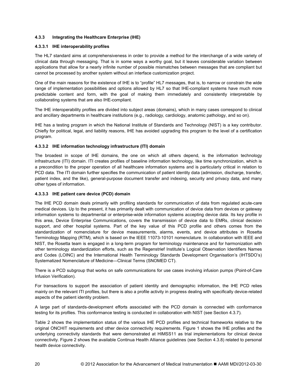#### <span id="page-29-0"></span>**4.3.3 Integrating the Healthcare Enterprise (IHE)**

#### **4.3.3.1 IHE interoperability profiles**

The HL7 standard aims at comprehensiveness in order to provide a method for the interchange of a wide variety of clinical data through messaging. That is in some ways a worthy goal, but it leaves considerable variation between applications that allow for a nearly infinite number of possible mismatches between messages that are compliant but cannot be processed by another system without an interface customization project.

One of the main reasons for the existence of IHE is to "profile" HL7 messages, that is, to narrow or constrain the wide range of implementation possibilities and options allowed by HL7 so that IHE-compliant systems have much more predictable content and form, with the goal of making them immediately and consistently interpretable by collaborating systems that are also IHE-compliant.

The IHE interoperability profiles are divided into subject areas (domains), which in many cases correspond to clinical and ancillary departments in healthcare institutions (e.g., radiology, cardiology, anatomic pathology, and so on).

IHE has a testing program in which the National Institute of Standards and Technology (NIST) is a key contributor. Chiefly for political, legal, and liability reasons, IHE has avoided upgrading this program to the level of a certification program.

#### **4.3.3.2 IHE information technology infrastructure (ITI) domain**

The broadest in scope of IHE domains, the one on which all others depend, is the information technology infrastructure (ITI) domain. ITI creates profiles of baseline information technology, like time synchronization, which is a precondition to the proper operation of all healthcare information systems and is particularly critical in relation to PCD data. The ITI domain further specifies the communication of patient identity data (admission, discharge, transfer, patient index, and the like), general-purpose document transfer and indexing, security and privacy data, and many other types of information.

#### **4.3.3.3 IHE patient care device (PCD) domain**

The IHE PCD domain deals primarily with profiling standards for communication of data from regulated acute-care medical devices. Up to the present, it has primarily dealt with communication of device data from devices or gateway information systems to departmental or enterprise-wide information systems accepting device data. Its key profile in this area, Device Enterprise Communications, covers the transmission of device data to EMRs, clinical decision support, and other hospital systems. Part of the key value of this PCD profile and others comes from the standardization of nomenclature for device measurements, alarms, events, and device attributes in Rosetta Terminology Mapping (RTM), which is based on the IEEE 11073-10101 nomenclature. In collaboration with IEEE and NIST, the Rosetta team is engaged in a long-term program for terminology maintenance and for harmonization with other terminology standardization efforts, such as the Regenstrief Institute's Logical Observation Identifiers Names and Codes (LOINC) and the International Health Terminology Standards Development Organisation's (IHTSDO's) Systematized Nomenclature of Medicine—Clinical Terms (SNOMED CT).

There is a PCD subgroup that works on safe communications for use cases involving infusion pumps (Point-of-Care Infusion Verification).

For transactions to support the association of patient identity and demographic information, the IHE PCD relies mainly on the relevant ITI profiles, but there is also a profile activity in progress dealing with specifically device-related aspects of the patient identity problem.

A large part of standards-development efforts associated with the PCD domain is connected with conformance testing for its profiles. This conformance testing is conducted in collaboration with NIST (see Section 4.3.7).

Table 2 shows the implementation status of the various IHE PCD profiles and technical frameworks relative to the original ONCHIT requirements and other device connectivity requirements. Figure 1 shows the IHE profiles and the underlying connectivity standards that were demonstrated at HIMSS11 as trial implementations for clinical device connectivity. Figure 2 shows the available Continua Health Alliance guidelines (see Section 4.3.8) related to personal health device connectivity.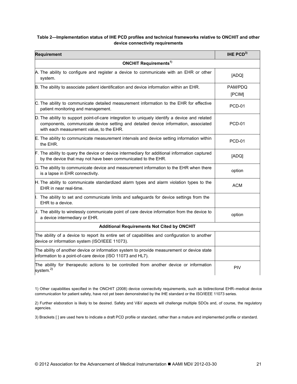#### <span id="page-30-0"></span>**Table 2—Implementation status of IHE PCD profiles and technical frameworks relative to ONCHIT and other device connectivity requirements**

| <b>Requirement</b>                                                                                                                                                                                                              | IHE $PCD3$        |  |  |  |  |  |
|---------------------------------------------------------------------------------------------------------------------------------------------------------------------------------------------------------------------------------|-------------------|--|--|--|--|--|
| <b>ONCHIT Requirements<sup>1)</sup></b>                                                                                                                                                                                         |                   |  |  |  |  |  |
| A. The ability to configure and register a device to communicate with an EHR or other<br>system.                                                                                                                                | [ADQ]             |  |  |  |  |  |
| B. The ability to associate patient identification and device information within an EHR.                                                                                                                                        | PAM/PDQ<br>[PCIM] |  |  |  |  |  |
| C. The ability to communicate detailed measurement information to the EHR for effective<br>patient monitoring and management.                                                                                                   | <b>PCD-01</b>     |  |  |  |  |  |
| D. The ability to support point-of-care integration to uniquely identify a device and related<br>components, communicate device setting and detailed device information, associated<br>with each measurement value, to the EHR. | PCD-01            |  |  |  |  |  |
| E. The ability to communicate measurement intervals and device setting information within<br>the EHR.                                                                                                                           | <b>PCD-01</b>     |  |  |  |  |  |
| F. The ability to query the device or device intermediary for additional information captured<br>by the device that may not have been communicated to the EHR.                                                                  | [ADQ]             |  |  |  |  |  |
| G. The ability to communicate device and measurement information to the EHR when there<br>is a lapse in EHR connectivity.                                                                                                       | option            |  |  |  |  |  |
| H. The ability to communicate standardized alarm types and alarm violation types to the<br>EHR in near real-time.                                                                                                               | ACM               |  |  |  |  |  |
| I. The ability to set and communicate limits and safeguards for device settings from the<br>EHR to a device.                                                                                                                    |                   |  |  |  |  |  |
| $J$ . The ability to wirelessly communicate point of care device information from the device to<br>a device intermediary or EHR.                                                                                                | option            |  |  |  |  |  |
| <b>Additional Requirements Not Cited by ONCHIT</b>                                                                                                                                                                              |                   |  |  |  |  |  |
| The ability of a device to report its entire set of capabilities and configuration to another<br>device or information system (ISO/IEEE 11073).                                                                                 |                   |  |  |  |  |  |
| The ability of another device or information system to provide measurement or device state<br>information to a point-of-care device (ISO 11073 and HL7).                                                                        |                   |  |  |  |  |  |
| The ability for therapeutic actions to be controlled from another device or information<br>system. <sup>2)</sup>                                                                                                                | <b>PIV</b>        |  |  |  |  |  |

1) Other capabilities specified in the ONCHIT (2008) device connectivity requirements, such as bidirectional EHR–medical device communication for patient safety, have not yet been demonstrated by the IHE standard or the ISO/IEEE 11073 series.

2) Further elaboration is likely to be desired. Safety and V&V aspects will challenge multiple SDOs and, of course, the regulatory agencies.

3) Brackets [ ] are used here to indicate a draft PCD profile or standard, rather than a mature and implemented profile or standard.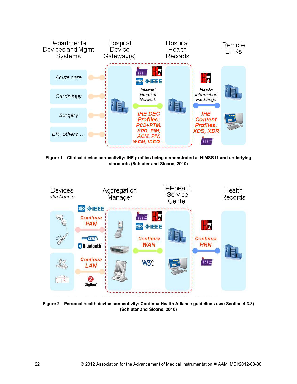<span id="page-31-0"></span>

**Figure 1—Clinical device connectivity: IHE profiles being demonstrated at HIMSS11 and underlying standards (Schluter and Sloane, 2010)**



**Figure 2—Personal health device connectivity: Continua Health Alliance guidelines (see Section 4.3.8) (Schluter and Sloane, 2010)**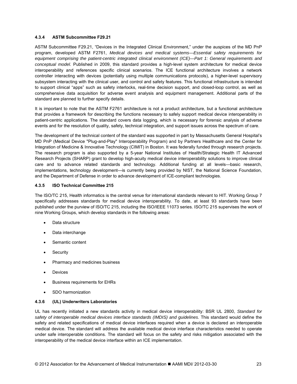#### <span id="page-32-0"></span>**4.3.4 ASTM Subcommittee F29.21**

ASTM Subcommittee F29.21, "Devices in the Integrated Clinical Environment," under the auspices of the MD PnP program, developed ASTM F2761, *Medical devices and medical systems—Essential safety requirements for equipment comprising the patient-centric integrated clinical environment (ICE)—Part 1: General requirements and conceptual model.* Published in 2009, this standard provides a high-level system architecture for medical device interoperability and references specific clinical scenarios. The ICE functional architecture involves a network controller interacting with devices (potentially using multiple communications protocols), a higher-level supervisory subsystem interacting with the clinical user, and control and safety features. This functional infrastructure is intended to support clinical "apps" such as safety interlocks, real-time decision support, and closed-loop control, as well as comprehensive data acquisition for adverse event analysis and equipment management. Additional parts of the standard are planned to further specify details.

It is important to note that the ASTM F2761 architecture is not a product architecture, but a functional architecture that provides a framework for describing the functions necessary to safely support medical device interoperability in patient-centric applications. The standard covers data logging, which is necessary for forensic analysis of adverse events and for the resolution of quality, safety, technical integration, and support issues across the spectrum of care.

The development of the technical content of the standard was supported in part by Massachusetts General Hospital's MD PnP (Medical Device "Plug-and-Play" Interoperability Program) and by Partners Healthcare and the Center for Integration of Medicine & Innovative Technology (CIMIT) in Boston. It was federally funded through research projects. The research program is also supported by a 5-year National Institutes of Health/Strategic Health IT Advanced Research Projects (SHARP) grant to develop high-acuity medical device interoperability solutions to improve clinical care and to advance related standards and technology. Additional funding at all levels—basic research, implementations, technology development—is currently being provided by NIST, the National Science Foundation, and the Department of Defense in order to advance development of ICE-compliant technologies.

#### **4.3.5 ISO Technical Committee 215**

The ISO/TC 215, Health informatics is the central venue for international standards relevant to HIT. Working Group 7 specifically addresses standards for medical device interoperability. To date, at least 93 standards have been published under the purview of ISO/TC 215, including the ISO/IEEE 11073 series. ISO/TC 215 supervises the work of nine Working Groups, which develop standards in the following areas:

- Data structure
- Data interchange
- Semantic content
- **Security**
- Pharmacy and medicines business
- **Devices**
- Business requirements for EHRs
- SDO harmonization

#### **4.3.6 (UL) Underwriters Laboratories**

UL has recently initiated a new standards activity in medical device interoperability: BSR UL 2800, *Standard for safety of interoperable medical devices interface standards (IMDIS) and guidelines.* This standard would define the safety and related specifications of medical device interfaces required when a device is declared an interoperable medical device. The standard will address the available medical device interface characteristics needed to operate under safe interoperable conditions. The standard will focus on the safety and risks mitigation associated with the interoperability of the medical device interface within an ICE implementation.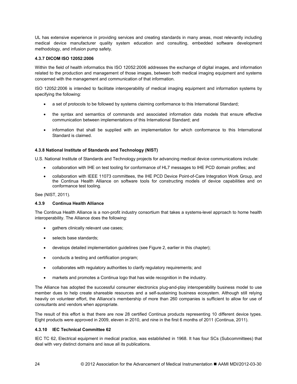<span id="page-33-0"></span>UL has extensive experience in providing services and creating standards in many areas, most relevantly including medical device manufacturer quality system education and consulting, embedded software development methodology, and infusion pump safety.

#### **4.3.7 DICOM ISO 12052:2006**

Within the field of health informatics this ISO 12052:2006 addresses the exchange of digital images, and information related to the production and management of those images, between both medical imaging equipment and systems concerned with the management and communication of that information.

ISO 12052:2006 is intended to facilitate interoperability of medical imaging equipment and information systems by specifying the following:

- a set of protocols to be followed by systems claiming conformance to this International Standard;
- the syntax and semantics of commands and associated information data models that ensure effective communication between implementations of this International Standard; and
- information that shall be supplied with an implementation for which conformance to this International Standard is claimed.

#### **4.3.8 National Institute of Standards and Technology (NIST)**

U.S. National Institute of Standards and Technology projects for advancing medical device communications include:

- collaboration with IHE on test tooling for conformance of HL7 messages to IHE PCD domain profiles; and
- collaboration with IEEE 11073 committees, the IHE PCD Device Point-of-Care Integration Work Group, and the Continua Health Alliance on software tools for constructing models of device capabilities and on conformance test tooling.

See (NIST, 2011).

#### **4.3.9 Continua Health Alliance**

The Continua Health Alliance is a non-profit industry consortium that takes a systems-level approach to home health interoperability. The Alliance does the following:

- gathers clinically relevant use cases;
- selects base standards;
- develops detailed implementation guidelines (see Figure 2, earlier in this chapter);
- conducts a testing and certification program;
- collaborates with regulatory authorities to clarify regulatory requirements; and
- markets and promotes a Continua logo that has wide recognition in the industry.

The Alliance has adopted the successful consumer electronics plug-and-play interoperability business model to use member dues to help create shareable resources and a self-sustaining business ecosystem. Although still relying heavily on volunteer effort, the Alliance's membership of more than 260 companies is sufficient to allow for use of consultants and vendors when appropriate.

The result of this effort is that there are now 28 certified Continua products representing 10 different device types. Eight products were approved in 2009, eleven in 2010, and nine in the first 6 months of 2011 (Continua, 2011).

#### **4.3.10 IEC Technical Committee 62**

IEC TC 62, Electrical equipment in medical practice, was established in 1968. It has four SCs (Subcommittees) that deal with very distinct domains and issue all its publications.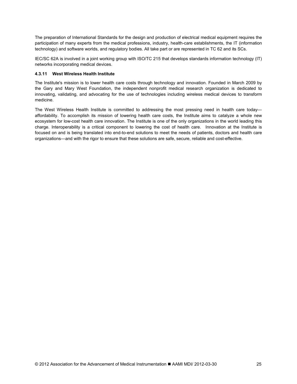<span id="page-34-0"></span>The preparation of International Standards for the design and production of electrical medical equipment requires the participation of many experts from the medical professions, industry, health-care establishments, the IT (information technology) and software worlds, and regulatory bodies. All take part or are represented in TC 62 and its SCs.

IEC/SC 62A is involved in a joint working group with ISO/TC 215 that develops standards information technology (IT) networks incorporating medical devices.

#### **4.3.11 West Wireless Health Institute**

The Institute's mission is to lower health care costs through technology and innovation. Founded in March 2009 by the Gary and Mary West Foundation, the independent nonprofit medical research organization is dedicated to innovating, validating, and advocating for the use of technologies including wireless medical devices to transform medicine.

The West Wireless Health Institute is committed to addressing the most pressing need in health care today affordability. To accomplish its mission of lowering health care costs, the Institute aims to catalyze a whole new ecosystem for low-cost health care innovation. The Institute is one of the only organizations in the world leading this charge. Interoperability is a critical component to lowering the cost of health care. Innovation at the Institute is focused on and is being translated into end-to-end solutions to meet the needs of patients, doctors and health care organizations—and with the rigor to ensure that these solutions are safe, secure, reliable and cost-effective.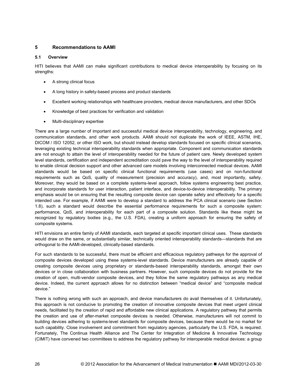#### <span id="page-35-0"></span>**5 Recommendations to AAMI**

#### **5.1 Overview**

HITI believes that AAMI can make significant contributions to medical device interoperability by focusing on its strengths:

- A strong clinical focus
- A long history in safety-based process and product standards
- Excellent working relationships with healthcare providers, medical device manufacturers, and other SDOs
- Knowledge of best practices for verification and validation
- Multi-disciplinary expertise

There are a large number of important and successful medical device interoperability, technology, engineering, and communication standards, and other work products. AAMI should not duplicate the work of IEEE, ASTM, IHE, DICOM / ISO 12052, or other ISO work, but should instead develop standards focused on specific clinical scenarios, leveraging existing technical interoperability standards when appropriate. Component and communication standards are not enough to attain the level of interoperability needed for the future of patient care. Newly developed system level standards, certification and independent accreditation could pave the way to the level of interoperability required to enable clinical decision support and other advanced care models involving interconnected medical devices. AAMI standards would be based on specific clinical functional requirements (use cases) and on non-functional requirements such as QoS, quality of measurement (precision and accuracy), and, most importantly, safety. Moreover, they would be based on a complete systems-level approach, follow systems engineering best practice, and incorporate standards for user interaction, patient interface, and device-to-device interoperability. The primary emphasis would be on ensuring that the resulting composite device can operate safely and effectively for a specific intended use. For example, if AAMI were to develop a standard to address the PCA clinical scenario (see Section 1.8), such a standard would describe the essential performance requirements for such a composite system: performance, QoS, and interoperability for each part of a composite solution. Standards like these might be recognized by regulatory bodies (e.g., the U.S. FDA), creating a uniform approach for ensuring the safety of composite systems.

HITI envisions an entire family of AAMI standards, each targeted at specific important clinical uses. These standards would draw on the same, or substantially similar, technically oriented interoperability standards—standards that are orthogonal to the AAMI-developed, clinically-based standards.

For such standards to be successful, there must be efficient and efficacious regulatory pathways for the approval of composite devices developed using these systems-level standards. Device manufacturers are already capable of creating composite devices using proprietary or standards-based interoperability standards, amongst their own devices or in close collaboration with business partners. However, such composite devices do not provide for the creation of open, multi-vendor composite devices, and they follow the same regulatory pathways as any medical device. Indeed, the current approach allows for no distinction between "medical device" and "composite medical device."

There is nothing wrong with such an approach, and device manufacturers do avail themselves of it. Unfortunately, this approach is not conducive to promoting the creation of innovative composite devices that meet urgent clinical needs, facilitated by the creation of rapid and affordable new clinical applications. A regulatory pathway that permits the creation and use of after-market composite devices is needed. Otherwise, manufacturers will not commit to building devices adhering to systems-level standards for composite devices, because there would be no market for such capability. Close involvement and commitment from regulatory agencies, particularly the U.S. FDA, is required. Fortunately, The Continua Health Alliance and The Center for Integration of Medicine & Innovative Technology (CIMIT) have convened two committees to address the regulatory pathway for interoperable medical devices: a group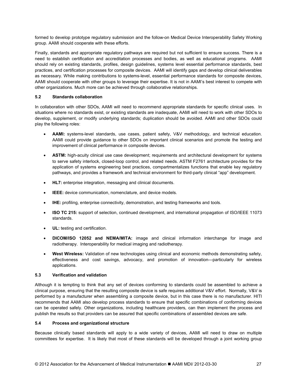<span id="page-36-0"></span>formed to develop prototype regulatory submission and the follow-on Medical Device Interoperability Safety Working group. AAMI should cooperate with these efforts.

Finally, standards and appropriate regulatory pathways are required but not sufficient to ensure success. There is a need to establish certification and accreditation processes and bodies, as well as educational programs. AAMI should rely on existing standards, profiles, design guidelines, systems level essential performance standards, best practices, and certification processes for composite devices. AAMI will identify gaps and develop clinical deliverables as necessary. While making contributions to systems-level, essential performance standards for composite devices, AAMI should cooperate with other groups to leverage their expertise. It is not in AAMI's best interest to compete with other organizations. Much more can be achieved through collaborative relationships.

#### **5.2 Standards collaboration**

In collaboration with other SDOs, AAMI will need to recommend appropriate standards for specific clinical uses. In situations where no standards exist, or existing standards are inadequate, AAMI will need to work with other SDOs to develop, supplement, or modify underlying standards; duplication should be avoided. AAMI and other SDOs could play the following roles:

- **AAMI:** systems-level standards, use cases, patient safety, V&V methodology, and technical education. AAMI could provide guidance to other SDOs on important clinical scenarios and promote the testing and improvement of clinical performance in composite devices.
- **ASTM:** high-acuity clinical use case development; requirements and architectural development for systems to serve safety interlock, closed-loop control, and related needs. ASTM F2761 architecture provides for the application of systems engineering best practices, compartmentalizes functions that enable key regulatory pathways, and provides a framework and technical environment for third-party clinical "app" development.
- **HL7:** enterprise integration, messaging and clinical documents.
- **IEEE:** device communication, nomenclature, and device models.
- **IHE:** profiling, enterprise connectivity, demonstration, and testing frameworks and tools.
- **ISO TC 215:** support of selection, continued development, and international propagation of ISO/IEEE 11073 standards.
- **UL:** testing and certification.
- **DICOM/ISO 12052 and NEMA/MITA:** image and clinical information interchange for image and radiotherapy. Interoperability for medical imaging and radiotherapy.
- **West Wireless:** Validation of new technologies using clinical and economic methods demonstrating safety, effectiveness and cost savings, advocacy, and promotion of innovation—particularly for wireless applications.

#### **5.3 Verification and validation**

Although it is tempting to think that any set of devices conforming to standards could be assembled to achieve a clinical purpose, ensuring that the resulting composite device is safe requires additional V&V effort. Normally, V&V is performed by a manufacturer when assembling a composite device, but in this case there is no manufacturer. HITI recommends that AAMI also develop process standards to ensure that specific combinations of conforming devices can be operated safely. Other organizations, including healthcare providers, can then implement the process and publish the results so that providers can be assured that specific combinations of assembled devices are safe.

#### **5.4 Process and organizational structure**

Because clinically based standards will apply to a wide variety of devices, AAMI will need to draw on multiple committees for expertise. It is likely that most of these standards will be developed through a joint working group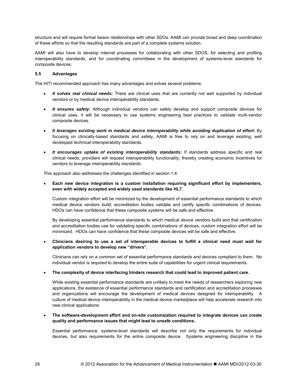<span id="page-37-0"></span>structure and will require formal liaison relationships with other SDOs. AAMI can provide broad and deep coordination of these efforts so that the resulting standards are part of a complete systems solution.

AAMI will also have to develop internal processes for collaborating with other SDOS, for selecting and profiling interoperability standards, and for coordinating committees in the development of systems-level standards for composite devices.

#### **5.5 Advantages**

The HITI recommended approach has many advantages and solves several problems:

- *It solves real clinical needs:* There are clinical uses that are currently not well supported by individual vendors or by medical device interoperability standards.
- *It ensures safety:* Although individual vendors can safely develop and support composite devices for clinical uses, it will be necessary to use systems engineering best practices to validate multi-vendor composite devices.
- *It leverages existing work in medical device interoperability while avoiding duplication of effort:* By focusing on clinically-based standards and safety, AAMI is free to rely on and leverage existing, well developed technical interoperability standards.
- *It encourages uptake of existing interoperability standards:* If standards address specific and real clinical needs, providers will request interoperability functionality, thereby creating economic incentives for vendors to leverage interoperability standards.

This approach also addresses the challenges identified in section 1.4:

• **Each new device integration is a custom installation requiring significant effort by implementers, even with widely accepted and widely used standards like HL7.**

Custom integration effort will be minimized by the development of essential performance standards to which medical device vendors build; accreditation bodies validate and certify specific combinations of devices. HDOs can have confidence that these composite systems will be safe and effective.

By developing essential performance standards to which medical device vendors build and that certification and accreditation bodies use for validating specific combinations of devices, custom integration effort will be minimized. HDOs can have confidence that these composite devices will be safe and effective.

• **Clinicians desiring to use a set of interoperable devices to fulfill a clinical need must wait for application vendors to develop new "drivers".**

Clinicians can rely on a common set of essential performance standards and devices compliant to them. No individual vendor is required to develop the entire suite of capabilities for urgent clinical requirements.

#### • **The complexity of device interfacing hinders research that could lead to improved patient care.**

While existing essential performance standards are unlikely to meet the needs of researchers exploring new applications, the existence of essential performance standards and certification and accreditation processes and organizations will encourage the development of medical devices designed for interoperability. A culture of medical device interoperability in the medical device marketplace will help accelerate research into new clinical applications.

#### • **The software-development effort and on-site customization required to integrate devices can create quality and performance issues that might lead to unsafe conditions.**

Essential performance, systems-level standards will describe not only the requirements for individual devices, but also requirements for the entire composite device. Systems engineering discipline in the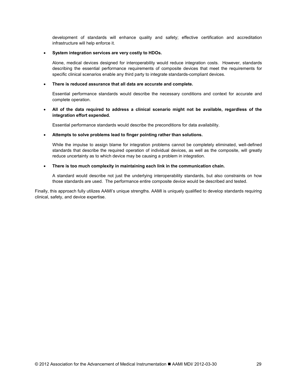development of standards will enhance quality and safety; effective certification and accreditation infrastructure will help enforce it.

#### • **System integration services are very costly to HDOs.**

Alone, medical devices designed for interoperability would reduce integration costs. However, standards describing the essential performance requirements of composite devices that meet the requirements for specific clinical scenarios enable any third party to integrate standards-compliant devices.

#### • **There is reduced assurance that all data are accurate and complete.**

Essential performance standards would describe the necessary conditions and context for accurate and complete operation.

#### • **All of the data required to address a clinical scenario might not be available, regardless of the integration effort expended.**

Essential performance standards would describe the preconditions for data availability.

#### • **Attempts to solve problems lead to finger pointing rather than solutions.**

While the impulse to assign blame for integration problems cannot be completely eliminated, well-defined standards that describe the required operation of individual devices, as well as the composite, will greatly reduce uncertainty as to which device may be causing a problem in integration.

#### • **There is too much complexity in maintaining each link in the communication chain.**

A standard would describe not just the underlying interoperability standards, but also constraints on how those standards are used. The performance entire composite device would be described and tested.

Finally, this approach fully utilizes AAMI's unique strengths. AAMI is uniquely qualified to develop standards requiring clinical, safety, and device expertise.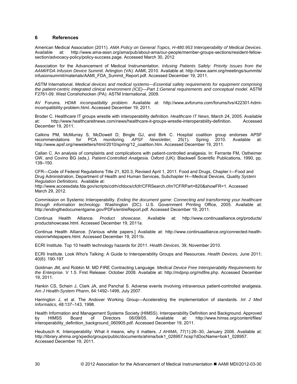#### <span id="page-39-0"></span>**6 References**

American Medical Association (2011). *AMA Policy on General Topics, H-480.953 Interoperability of Medical Devices*. Available at: http://www.ama-assn.org/ama/pub/about-ama/our-people/member-groups-sections/resident-fellowsection/advocacy-policy/policy-success.page. Accessed March 30, 2012

Association for the Advancement of Medical Instrumentation. *Infusing Patients Safely: Priority Issues from the AAMI/FDA Infusion Device Summit.* Arlington (VA): AAMI, 2010. Available at: [http://www.aami.org/m](http://www.aami.org/)eetings/summits/ infusionsummit/materials/AAMI\_FDA\_Summit\_Report.pdf. Accessed December 19, 2011.

ASTM International. *Medical devices and medical systems—Essential safety requirements for equipment comprising the patient-centric integrated clinical environment (ICE)—Part 1:General requirements and conceptual model.* ASTM F2761-09. West Conshohocken (PA): ASTM International, 2009.

AV Forums. *HDMI incompatibility problem*. Available at: [http://www.avforums.com/forums/tvs/422301-hdmi](http://www.avforums.com/forums/tvs/422301-hdmi-incompatibility-problem.html.%20Accessed%20December%2019)[incompatibility-problem.html. Accessed December 19,](http://www.avforums.com/forums/tvs/422301-hdmi-incompatibility-problem.html.%20Accessed%20December%2019) 2011.

Broder C. Healthcare IT groups wrestle with interoperability definition. *Healthcare IT News*, March 24, 2005. Available at: [http://www.healthcareitnews.com/news/healthcare-it-groups-wrestle-interoperability-definition. Accessed](http://www.healthcareitnews.com/news/healthcare-it-groups-wrestle-interoperability-definition.%20Accessed%20December%2019)  [December 19,](http://www.healthcareitnews.com/news/healthcare-it-groups-wrestle-interoperability-definition.%20Accessed%20December%2019) 2011.

Calkins PM, McMurray S, McDowell D, Bingle GJ, and Birk C. Hospital coalition group endorses APSF recommendations for PCA monitoring. APSF Newsletter, 25(1), Spring 2010. Available at: recommendations for PCA monitoring. APSF [http://www.apsf.org/newsletters/html/2010/spring/12\\_coalition.htm. Accessed December 19,](http://www.apsf.org/newsletters/html/2010/spring/12_coalition.htm.%20Accessed%20December%2019) 2011.

Callan C. An analysis of complaints and complications with patient-controlled analgesia. In: Ferrante FM, Ostheimer GW, and Covino BG (eds*.). Patient-Controlled Analgesia.* Oxford (UK): Blackwell Scientific Publications, 1990, pp. 139–150.

CFR—Code of Federal Regulations Title 21, 820.3, Revised April 1, 2011. Food and Drugs, Chapter I—Food and Drug Administration, Department of Health and Human Services, Subchapter H—Medical Devices, Quality *System Regulation Definitions.* Available at:

http://www.accessdata.fda.gov/scripts/cdrh/cfdocs/cfcfr/CFRSearch.cfm?CFRPart=820&showFR=1. Accessed March 29, 2012.

Commission on Systemic Interoperability. *Ending the document game: Connecting and transforming your healthcare through information technology.* Washington (DC): U.S. Government Printing Office, 2005. Available at: [http://endingthedocumentgame.gov/PDFs/entireReport.pdf. Accessed December 19,](http://endingthedocumentgame.gov/PDFs/entireReport.pdf.%20Accessed%20December%2019) 2011.

Continua Health Alliance. *Product showcase*. Available at: <http://www.continuaalliance.org/products/> productshowcase.html. Accessed December 19, 2011a.

Continua Health Alliance. [Various white papers.] Available at: [http://www.continuaalliance.org/connected-health](http://www.continuaalliance.org/connected-health-vision/whitepapers.html.%20Accessed%20December%2019)[vision/whitepapers.html. Accessed December 19,](http://www.continuaalliance.org/connected-health-vision/whitepapers.html.%20Accessed%20December%2019) 2011b.

ECRI Institute. Top 10 health technology hazards for 2011. *Health Devices*, 39, November 2010.

ECRI Institute. Look Who's Talking: A Guide to Interoperability Groups and Resources. *Health Devices,* June 2011; 40(6): 190-197

Goldman JM, and Robkin M. MD FIRE Contracting Language. *Medical Device Free Interoperability Requirements for the Enterprise*. V 1.5. First Release: October 2008. Available at: http://mdpnp.org/mdfire.php. Accessed December 19, 2011.

Hankin CS, Schein J, Clark JA, and Panchal S. Adverse events involving intravenous patient-controlled analgesia. *Am J Health-System Pharm*, 64:1492–1499, July 2007.

Harrington J, et al. The Andover Working Group—Accelerating the implementation of standards. *Int J Med Informatics,* 48:137–143, 1998.

Health Information and Management Systems Society (HIMSS). Interoperability Definition and Background. Approved<br>by HIMSS Board of Directors 06/09/05. Available at: http://www.himss.org/content/files/ by HIMSS Board of Directors 06/09/05. Available at: <http://www.himss.org/content/files/> interoperability\_definition\_background\_060905.pdf. Accessed December 19, 2011.

Heubusch K. Interoperability: What it means, why it matters. *J AHIMA*, 77(1):26–30, January 2006. Available at: [http://library.ahima.org/xpedio/groups/public/documents/ahima/bok1\\_028957.hcsp?dDocName=bok1\\_028957.](http://library.ahima.org/xpedio/groups/public/documents/ahima/bok1_028957.hcsp?dDocName=bok1_028957) Accessed December 19, 2011.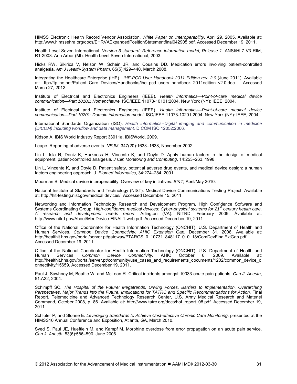HIMSS Electronic Health Record Vendor Association. *White Paper on Interoperability*. April 29, 2005. Available at: http:/www.himssehra.org/docs/EHRVAExpandedPositionStatementfinal042905.pdf. Accessed December 19, 2011.

Health Level Seven International. *Version 3 standard: Reference information model, Release 1*. ANSI/HL7 V3 RIM, R1-2003. Ann Arbor (MI): Health Level Seven International, 2003.

Hicks RW, Sikirica V, Nelson W, Schein JR, and Cousins DD. Medication errors involving patient-controlled analgesia. *Am J Health-System Pharm*, 65(5):429–440, March 2008.

Integrating the Healthcare Enterprise (IHE). *IHE-PCD User Handbook 2011 Edition rev. 2.0* (June 2011). Available at: ftp://ftp.ihe.net/Patient\_Care\_Devices/Handbooks/ihe\_pcd\_users\_handbook\_2011edition\_v2.0.doc Accessed March 27, 2012

Institute of Electrical and Electronics Engineers (IEEE). *Health informatics—Point-of-care medical device communication—Part 10101: Nomenclature.* ISO/IEEE 11073-10101:2004. New York (NY): IEEE, 2004.

Institute of Electrical and Electronics Engineers (IEEE). *Health informatics—Point-of-care medical device communication—Part 10201: Domain information model.* ISO/IEEE 11073-10201:2004. New York (NY): IEEE, 2004.

International Standards Organization (ISO). *Health informatics--Digital imaging and communication in medicine (DICOM) including workflow and data management.* DICOM ISO 12052:2006*.*

Kidson A. IBIS World Industry Report 33911a, IBISWorld, 2009.

Leape. Reporting of adverse events. *NEJM*, 347(20):1633–1638, November 2002.

Lin L, Isla R, Doniz K, Harkness H, Vincente K, and Doyle D. Apply human factors to the design of medical equipment: patient-controlled analgesia*. J Clin Monitoring and Computing*, 14:253–263, 1998.

Lin L, Vincente K, and Doyle D. Patient safety, potential adverse drug events, and medical device design: a human factors engineering approach. *J. Biomed Informatics*, 34:274–284, 2001.

Moorman B. Medical device interoperability: Overview of key initiatives. *BI&T,* April/May 2010.

National Institute of Standards and Technology (NIST). Medical Device Communications Testing Project. Available at[: http://hit-testing.nist.gov/medical devices/. Accessed December 15,](http://hit-testing.nist.gov/medical%20devices/.%20Accessed%20December%2015) 2011.

Networking and Information Technology Research and Development Program, High Confidence Software and Systems Coordinating Group. *High-confidence medical devices: Cyber-physical systems for 21st century health care, A research and development needs report.* Arlington (VA): NITRD, February 2009. Available at: [http://www.nitrd.gov/About/MedDevice-FINAL1-web.pdf. Accessed December 19,](http://www.nitrd.gov/About/MedDevice-FINAL1-web.pdf.%20Accessed%20December%2019) 2011.

Office of the National Coordinator for Health Information Technology (ONCHIT), U.S. Department of Health and Human Services. Common Device Connectivity. AHIC Extension Gap. December 31, 2008. Available at: [http://healthit.hhs.gov/portal/server.pt/gateway/PTARGS\\_0\\_10731\\_848117\\_0\\_0\\_18/ComDevFinalExtGap.pdf.](http://healthit.hhs.gov/portal/server.pt/gateway/PTARGS_0_10731_848117_0_0_18/ComDevFinalExtGap.pdf.%20Accessed%20December%2019)  [Accessed December 19,](http://healthit.hhs.gov/portal/server.pt/gateway/PTARGS_0_10731_848117_0_0_18/ComDevFinalExtGap.pdf.%20Accessed%20December%2019) 2011.

Office of the National Coordinator for Health Information Technology (ONCHIT), U.S. Department of Health and Human Services. Common Device Connectivity. AHIC October 6, 2009. Available at: Common Device Connectivity. AHIC October 6, 2009. Available at: [http://healthit.hhs.gov/portal/server.pt/community/use\\_cases\\_and\\_requirements\\_documents/1202/common\\_device\\_c](http://healthit.hhs.gov/portal/server.pt/community/use_cases_and_requirements_documents/1202/common_device_connectivity/15659.%20Accessed%20December%2019) [onnectivity/15659. Accessed December 19,](http://healthit.hhs.gov/portal/server.pt/community/use_cases_and_requirements_documents/1202/common_device_connectivity/15659.%20Accessed%20December%2019) 2011.

Paul J, Sawhney M, Beattie W, and McLean R. Critical incidents amongst 10033 acute pain patients. *Can J. Anesth*, 51:A22, 2004.

Schimpff SC. *The Hospital of the Future: Megatrends, Driving Forces, Barriers to Implementation, Overarching Perspectives, Major Trends into the Future, Implications for TATRC and Specific Recommendations for Action.* Final Report. Telemedicine and Advanced Technology Research Center, U.S. Army Medical Research and Materiel Command, October 2008, p. 86. Available at: [http://www.tatrc.org/docs/hof\\_report\\_08.pdf. Accessed December 19,](http://www.tatrc.org/docs/hof_report_08.pdf.%20Accessed%20December%2019) 2011.

Schluter P, and Sloane E. *Leveraging Standards to Achieve Cost-effective Chronic Care Monitoring,* presented at the HIMSS10 Annual Conference and Exposition, Atlanta, GA, March 2010.

Syed S, Paul JE, Hueftlein M, and Kampf M. Morphine overdose from error propagation on an acute pain service. *Can J. Anesth*, 53(6):586–590, June 2006.